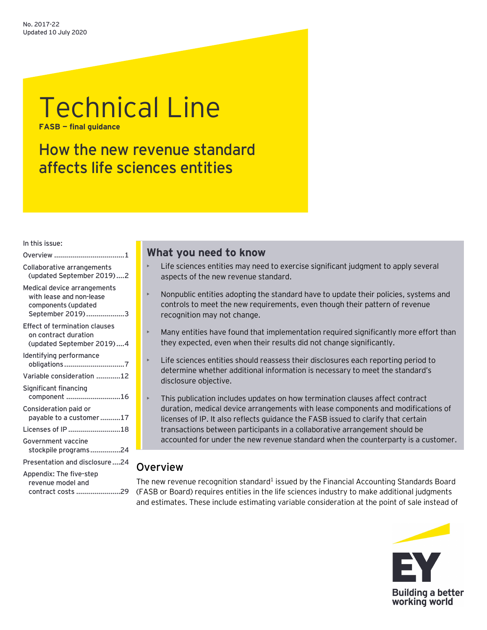# Technical Line

**FASB — final guidance**

# How the new revenue standard affects life sciences entities

#### In this issue:

| Collaborative arrangements<br>(updated September 2019)2                                            |
|----------------------------------------------------------------------------------------------------|
| Medical device arrangements<br>with lease and non-lease<br>components (updated<br>September 2019)3 |
| <b>Effect of termination clauses</b><br>on contract duration<br>(updated September 2019)4          |
| Identifying performance<br>obligations 7                                                           |
| Variable consideration 12                                                                          |
| Significant financing<br>component 16                                                              |
| Consideration paid or<br>payable to a customer17                                                   |
| Licenses of IP 18                                                                                  |
| Government vaccine<br>stockpile programs24                                                         |
| Presentation and disclosure24                                                                      |
| Appendix: The five-step<br>revenue model and<br>contract costs 29                                  |

# **What you need to know**

- Life sciences entities may need to exercise significant judgment to apply several aspects of the new revenue standard.
- Nonpublic entities adopting the standard have to update their policies, systems and controls to meet the new requirements, even though their pattern of revenue recognition may not change.
- Many entities have found that implementation required significantly more effort than they expected, even when their results did not change significantly.
- Life sciences entities should reassess their disclosures each reporting period to determine whether additional information is necessary to meet the standard's disclosure objective.
- This publication includes updates on how termination clauses affect contract duration, medical device arrangements with lease components and modifications of licenses of IP. It also reflects guidance the FASB issued to clarify that certain transactions between participants in a collaborative arrangement should be accounted for under the new revenue standard when the counterparty is a customer.

# <span id="page-0-0"></span>**Overview**

The new revenue recognition standard<sup>1</sup> issued by the Financial Accounting Standards Board (FASB or Board) requires entities in the life sciences industry to make additional judgments and estimates. These include estimating variable consideration at the point of sale instead of

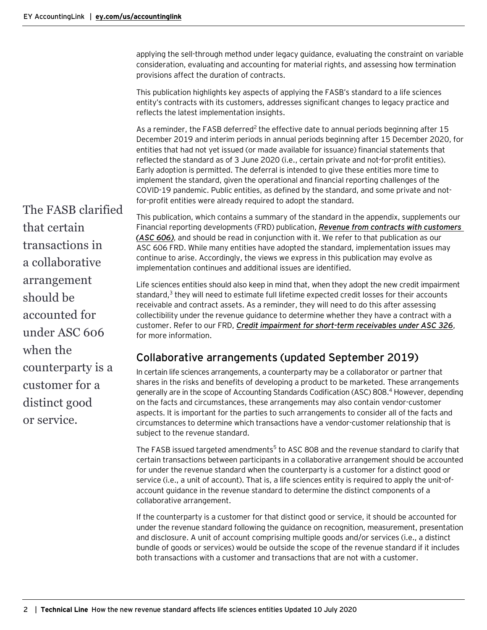applying the sell-through method under legacy guidance, evaluating the constraint on variable consideration, evaluating and accounting for material rights, and assessing how termination provisions affect the duration of contracts.

This publication highlights key aspects of applying the FASB's standard to a life sciences entity's contracts with its customers, addresses significant changes to legacy practice and reflects the latest implementation insights.

As a reminder, the FASB deferred<sup>2</sup> the effective date to annual periods beginning after 15 December 2019 and interim periods in annual periods beginning after 15 December 2020, for entities that had not yet issued (or made available for issuance) financial statements that reflected the standard as of 3 June 2020 (i.e., certain private and not-for-profit entities). Early adoption is permitted. The deferral is intended to give these entities more time to implement the standard, given the operational and financial reporting challenges of the COVID-19 pandemic. Public entities, as defined by the standard, and some private and notfor-profit entities were already required to adopt the standard.

The FASB clarified that certain transactions in a collaborative arrangement should be accounted for under ASC 606 when the counterparty is a customer for a distinct good or service.

This publication, which contains a summary of the standard in the appendix, supplements our [Financial reporting developments \(FRD\) publication,](https://www.ey.com/ul/en/accountinglink/frd-bb3043-revenue) *Revenue from contracts with customers [\(ASC](https://www.ey.com/ul/en/accountinglink/frd-bb3043-revenue) 606)*, and should be read in conjunction with it. We refer to that publication as our ASC 606 FRD. While many entities have adopted the standard, implementation issues may continue to arise. Accordingly, the views we express in this publication may evolve as implementation continues and additional issues are identified.

Life sciences entities should also keep in mind that, when they adopt the new credit impairment standard, $3$  they will need to estimate full lifetime expected credit losses for their accounts receivable and contract assets. As a reminder, they will need to do this after assessing collectibility under the revenue guidance to determine whether they have a contract with a customer. Refer to our FRD, *[Credit impairment for short-term receivables under ASC 326](https://www.ey.com/ul/en/accountinglink/frd-06003-191us-credit-impairment)*, for more information.

# <span id="page-1-0"></span>Collaborative arrangements (updated September 2019)

In certain life sciences arrangements, a counterparty may be a collaborator or partner that shares in the risks and benefits of developing a product to be marketed. These arrangements generally are in the scope of Accounting Standards Codification (ASC) 808.4 However, depending on the facts and circumstances, these arrangements may also contain vendor-customer aspects. It is important for the parties to such arrangements to consider all of the facts and circumstances to determine which transactions have a vendor-customer relationship that is subject to the revenue standard.

The FASB issued targeted amendments<sup>5</sup> to ASC 808 and the revenue standard to clarify that certain transactions between participants in a collaborative arrangement should be accounted for under the revenue standard when the counterparty is a customer for a distinct good or service (i.e., a unit of account). That is, a life sciences entity is required to apply the unit-ofaccount guidance in the revenue standard to determine the distinct components of a collaborative arrangement.

If the counterparty is a customer for that distinct good or service, it should be accounted for under the revenue standard following the guidance on recognition, measurement, presentation and disclosure. A unit of account comprising multiple goods and/or services (i.e., a distinct bundle of goods or services) would be outside the scope of the revenue standard if it includes both transactions with a customer and transactions that are not with a customer.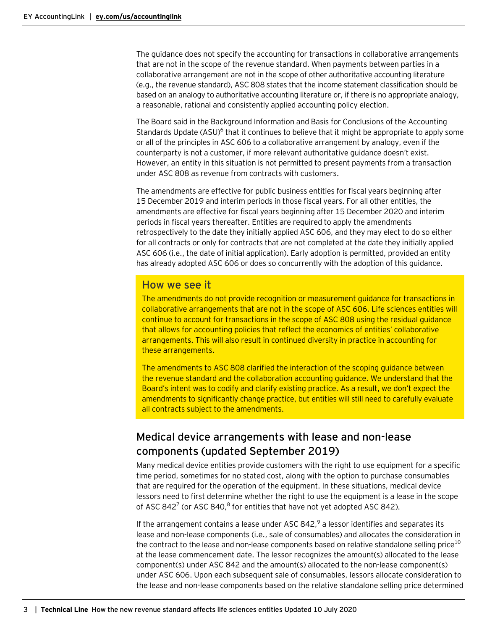The guidance does not specify the accounting for transactions in collaborative arrangements that are not in the scope of the revenue standard. When payments between parties in a collaborative arrangement are not in the scope of other authoritative accounting literature (e.g., the revenue standard), ASC 808 states that the income statement classification should be based on an analogy to authoritative accounting literature or, if there is no appropriate analogy, a reasonable, rational and consistently applied accounting policy election.

The Board said in the Background Information and Basis for Conclusions of the Accounting Standards Update (ASU)<sup>6</sup> that it continues to believe that it might be appropriate to apply some or all of the principles in ASC 606 to a collaborative arrangement by analogy, even if the counterparty is not a customer, if more relevant authoritative guidance doesn't exist. However, an entity in this situation is not permitted to present payments from a transaction under ASC 808 as revenue from contracts with customers.

The amendments are effective for public business entities for fiscal years beginning after 15 December 2019 and interim periods in those fiscal years. For all other entities, the amendments are effective for fiscal years beginning after 15 December 2020 and interim periods in fiscal years thereafter. Entities are required to apply the amendments retrospectively to the date they initially applied ASC 606, and they may elect to do so either for all contracts or only for contracts that are not completed at the date they initially applied ASC 606 (i.e., the date of initial application). Early adoption is permitted, provided an entity has already adopted ASC 606 or does so concurrently with the adoption of this guidance.

# How we see it

The amendments do not provide recognition or measurement guidance for transactions in collaborative arrangements that are not in the scope of ASC 606. Life sciences entities will continue to account for transactions in the scope of ASC 808 using the residual guidance that allows for accounting policies that reflect the economics of entities' collaborative arrangements. This will also result in continued diversity in practice in accounting for these arrangements.

The amendments to ASC 808 clarified the interaction of the scoping guidance between the revenue standard and the collaboration accounting guidance. We understand that the Board's intent was to codify and clarify existing practice. As a result, we don't expect the amendments to significantly change practice, but entities will still need to carefully evaluate all contracts subject to the amendments.

# <span id="page-2-0"></span>Medical device arrangements with lease and non-lease components (updated September 2019)

Many medical device entities provide customers with the right to use equipment for a specific time period, sometimes for no stated cost, along with the option to purchase consumables that are required for the operation of the equipment. In these situations, medical device lessors need to first determine whether the right to use the equipment is a lease in the scope of ASC 842<sup>7</sup> (or ASC 840, $8$  for entities that have not yet adopted ASC 842).

If the arrangement contains a lease under ASC 842, $9$  a lessor identifies and separates its lease and non-lease components (i.e., sale of consumables) and allocates the consideration in the contract to the lease and non-lease components based on relative standalone selling price<sup>10</sup> at the lease commencement date. The lessor recognizes the amount(s) allocated to the lease component(s) under ASC 842 and the amount(s) allocated to the non-lease component(s) under ASC 606. Upon each subsequent sale of consumables, lessors allocate consideration to the lease and non-lease components based on the relative standalone selling price determined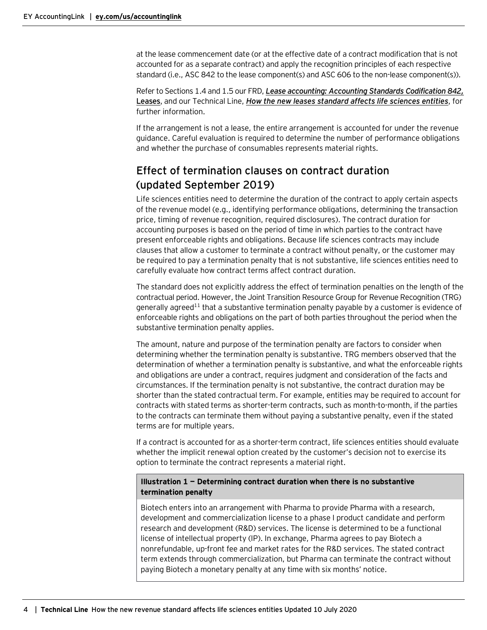at the lease commencement date (or at the effective date of a contract modification that is not accounted for as a separate contract) and apply the recognition principles of each respective standard (i.e., ASC 842 to the lease component(s) and ASC 606 to the non-lease component(s)).

Refer to Sections 1.4 and 1.5 our FRD, *[Lease accounting: Accounting Standards Codification 842,](https://www.ey.com/en_us/assurance/accountinglink/financial-reporting-developments---lease-accounting---accounting)*  **[Leases](https://www.ey.com/en_us/assurance/accountinglink/financial-reporting-developments---lease-accounting---accounting)**, and our Technical Line, *[How the new leases standard affects life sciences entities](https://www.ey.com/en_us/assurance/accountinglink/technical-line---how-the-new-leases-standard-affects-life-scienc)*, for further information.

If the arrangement is not a lease, the entire arrangement is accounted for under the revenue guidance. Careful evaluation is required to determine the number of performance obligations and whether the purchase of consumables represents material rights.

# <span id="page-3-0"></span>Effect of termination clauses on contract duration (updated September 2019)

Life sciences entities need to determine the duration of the contract to apply certain aspects of the revenue model (e.g., identifying performance obligations, determining the transaction price, timing of revenue recognition, required disclosures). The contract duration for accounting purposes is based on the period of time in which parties to the contract have present enforceable rights and obligations. Because life sciences contracts may include clauses that allow a customer to terminate a contract without penalty, or the customer may be required to pay a termination penalty that is not substantive, life sciences entities need to carefully evaluate how contract terms affect contract duration.

The standard does not explicitly address the effect of termination penalties on the length of the contractual period. However, the Joint Transition Resource Group for Revenue Recognition (TRG) generally agreed<sup>11</sup> that a substantive termination penalty payable by a customer is evidence of enforceable rights and obligations on the part of both parties throughout the period when the substantive termination penalty applies.

The amount, nature and purpose of the termination penalty are factors to consider when determining whether the termination penalty is substantive. TRG members observed that the determination of whether a termination penalty is substantive, and what the enforceable rights and obligations are under a contract, requires judgment and consideration of the facts and circumstances. If the termination penalty is not substantive, the contract duration may be shorter than the stated contractual term. For example, entities may be required to account for contracts with stated terms as shorter-term contracts, such as month-to-month, if the parties to the contracts can terminate them without paying a substantive penalty, even if the stated terms are for multiple years.

If a contract is accounted for as a shorter-term contract, life sciences entities should evaluate whether the implicit renewal option created by the customer's decision not to exercise its option to terminate the contract represents a material right.

# **Illustration 1 — Determining contract duration when there is no substantive termination penalty**

Biotech enters into an arrangement with Pharma to provide Pharma with a research, development and commercialization license to a phase I product candidate and perform research and development (R&D) services. The license is determined to be a functional license of intellectual property (IP). In exchange, Pharma agrees to pay Biotech a nonrefundable, up-front fee and market rates for the R&D services. The stated contract term extends through commercialization, but Pharma can terminate the contract without paying Biotech a monetary penalty at any time with six months' notice.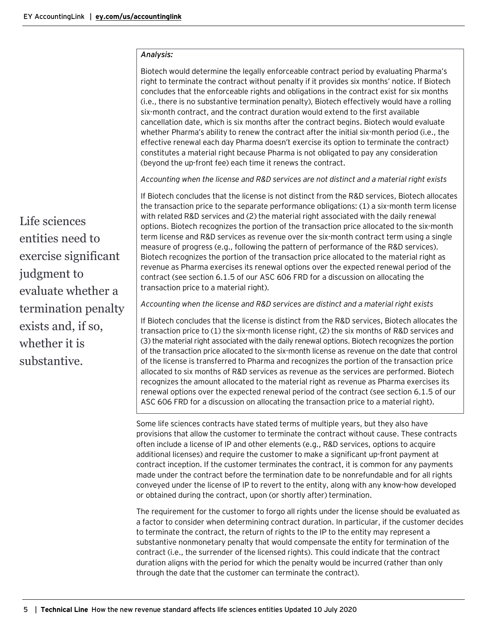#### *Analysis:*

Biotech would determine the legally enforceable contract period by evaluating Pharma's right to terminate the contract without penalty if it provides six months' notice. If Biotech concludes that the enforceable rights and obligations in the contract exist for six months (i.e., there is no substantive termination penalty), Biotech effectively would have a rolling six-month contract, and the contract duration would extend to the first available cancellation date, which is six months after the contract begins. Biotech would evaluate whether Pharma's ability to renew the contract after the initial six-month period (i.e., the effective renewal each day Pharma doesn't exercise its option to terminate the contract) constitutes a material right because Pharma is not obligated to pay any consideration (beyond the up-front fee) each time it renews the contract.

*Accounting when the license and R&D services are not distinct and a material right exists*

If Biotech concludes that the license is not distinct from the R&D services, Biotech allocates the transaction price to the separate performance obligations: (1) a six-month term license with related R&D services and (2) the material right associated with the daily renewal options. Biotech recognizes the portion of the transaction price allocated to the six-month term license and R&D services as revenue over the six-month contract term using a single measure of progress (e.g., following the pattern of performance of the R&D services). Biotech recognizes the portion of the transaction price allocated to the material right as revenue as Pharma exercises its renewal options over the expected renewal period of the contract (see section 6.1.5 of our ASC 606 FRD for a discussion on allocating the transaction price to a material right).

*Accounting when the license and R&D services are distinct and a material right exists*

If Biotech concludes that the license is distinct from the R&D services, Biotech allocates the transaction price to (1) the six-month license right, (2) the six months of R&D services and (3) the material right associated with the daily renewal options. Biotech recognizes the portion of the transaction price allocated to the six-month license as revenue on the date that control of the license is transferred to Pharma and recognizes the portion of the transaction price allocated to six months of R&D services as revenue as the services are performed. Biotech recognizes the amount allocated to the material right as revenue as Pharma exercises its renewal options over the expected renewal period of the contract (see section 6.1.5 of our ASC 606 FRD for a discussion on allocating the transaction price to a material right).

Some life sciences contracts have stated terms of multiple years, but they also have provisions that allow the customer to terminate the contract without cause. These contracts often include a license of IP and other elements (e.g., R&D services, options to acquire additional licenses) and require the customer to make a significant up-front payment at contract inception. If the customer terminates the contract, it is common for any payments made under the contract before the termination date to be nonrefundable and for all rights conveyed under the license of IP to revert to the entity, along with any know-how developed or obtained during the contract, upon (or shortly after) termination.

The requirement for the customer to forgo all rights under the license should be evaluated as a factor to consider when determining contract duration. In particular, if the customer decides to terminate the contract, the return of rights to the IP to the entity may represent a substantive nonmonetary penalty that would compensate the entity for termination of the contract (i.e., the surrender of the licensed rights). This could indicate that the contract duration aligns with the period for which the penalty would be incurred (rather than only through the date that the customer can terminate the contract).

Life sciences entities need to exercise significant judgment to evaluate whether a termination penalty exists and, if so, whether it is substantive.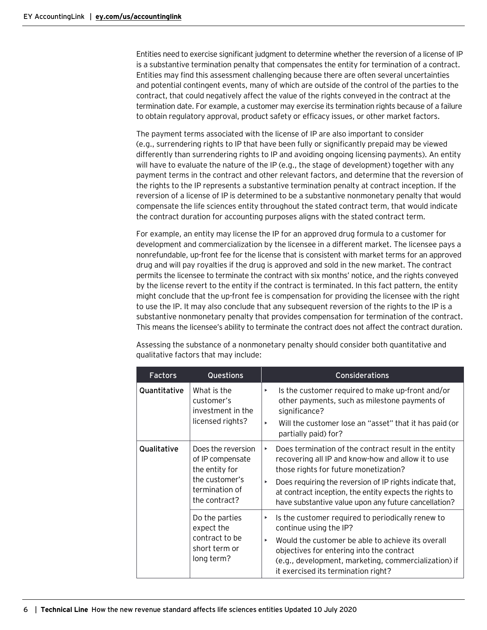Entities need to exercise significant judgment to determine whether the reversion of a license of IP is a substantive termination penalty that compensates the entity for termination of a contract. Entities may find this assessment challenging because there are often several uncertainties and potential contingent events, many of which are outside of the control of the parties to the contract, that could negatively affect the value of the rights conveyed in the contract at the termination date. For example, a customer may exercise its termination rights because of a failure to obtain regulatory approval, product safety or efficacy issues, or other market factors.

The payment terms associated with the license of IP are also important to consider (e.g., surrendering rights to IP that have been fully or significantly prepaid may be viewed differently than surrendering rights to IP and avoiding ongoing licensing payments). An entity will have to evaluate the nature of the IP (e.g., the stage of development) together with any payment terms in the contract and other relevant factors, and determine that the reversion of the rights to the IP represents a substantive termination penalty at contract inception. If the reversion of a license of IP is determined to be a substantive nonmonetary penalty that would compensate the life sciences entity throughout the stated contract term, that would indicate the contract duration for accounting purposes aligns with the stated contract term.

For example, an entity may license the IP for an approved drug formula to a customer for development and commercialization by the licensee in a different market. The licensee pays a nonrefundable, up-front fee for the license that is consistent with market terms for an approved drug and will pay royalties if the drug is approved and sold in the new market. The contract permits the licensee to terminate the contract with six months' notice, and the rights conveyed by the license revert to the entity if the contract is terminated. In this fact pattern, the entity might conclude that the up-front fee is compensation for providing the licensee with the right to use the IP. It may also conclude that any subsequent reversion of the rights to the IP is a substantive nonmonetary penalty that provides compensation for termination of the contract. This means the licensee's ability to terminate the contract does not affect the contract duration.

| <b>Factors</b> | <b>Questions</b>                                                                                              | Considerations                                                                                                                                                                                                                                                                                                                                |
|----------------|---------------------------------------------------------------------------------------------------------------|-----------------------------------------------------------------------------------------------------------------------------------------------------------------------------------------------------------------------------------------------------------------------------------------------------------------------------------------------|
| Quantitative   | What is the<br>customer's<br>investment in the<br>licensed rights?                                            | Is the customer required to make up-front and/or<br>Þ<br>other payments, such as milestone payments of<br>significance?<br>Will the customer lose an "asset" that it has paid (or<br>ь<br>partially paid) for?                                                                                                                                |
| Qualitative    | Does the reversion<br>of IP compensate<br>the entity for<br>the customer's<br>termination of<br>the contract? | Does termination of the contract result in the entity<br>×<br>recovering all IP and know-how and allow it to use<br>those rights for future monetization?<br>Does requiring the reversion of IP rights indicate that,<br>×<br>at contract inception, the entity expects the rights to<br>have substantive value upon any future cancellation? |
|                | Do the parties<br>expect the<br>contract to be<br>short term or<br>long term?                                 | Is the customer required to periodically renew to<br>Þ<br>continue using the IP?<br>Would the customer be able to achieve its overall<br>Þ<br>objectives for entering into the contract<br>(e.g., development, marketing, commercialization) if<br>it exercised its termination right?                                                        |

Assessing the substance of a nonmonetary penalty should consider both quantitative and qualitative factors that may include: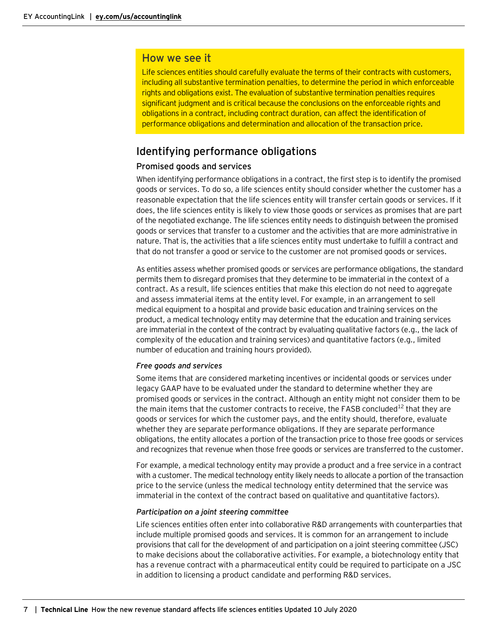# How we see it

Life sciences entities should carefully evaluate the terms of their contracts with customers, including all substantive termination penalties, to determine the period in which enforceable rights and obligations exist. The evaluation of substantive termination penalties requires significant judgment and is critical because the conclusions on the enforceable rights and obligations in a contract, including contract duration, can affect the identification of performance obligations and determination and allocation of the transaction price.

# <span id="page-6-0"></span>Identifying performance obligations

#### Promised goods and services

When identifying performance obligations in a contract, the first step is to identify the promised goods or services. To do so, a life sciences entity should consider whether the customer has a reasonable expectation that the life sciences entity will transfer certain goods or services. If it does, the life sciences entity is likely to view those goods or services as promises that are part of the negotiated exchange. The life sciences entity needs to distinguish between the promised goods or services that transfer to a customer and the activities that are more administrative in nature. That is, the activities that a life sciences entity must undertake to fulfill a contract and that do not transfer a good or service to the customer are not promised goods or services.

As entities assess whether promised goods or services are performance obligations, the standard permits them to disregard promises that they determine to be immaterial in the context of a contract. As a result, life sciences entities that make this election do not need to aggregate and assess immaterial items at the entity level. For example, in an arrangement to sell medical equipment to a hospital and provide basic education and training services on the product, a medical technology entity may determine that the education and training services are immaterial in the context of the contract by evaluating qualitative factors (e.g., the lack of complexity of the education and training services) and quantitative factors (e.g., limited number of education and training hours provided).

#### *Free goods and services*

Some items that are considered marketing incentives or incidental goods or services under legacy GAAP have to be evaluated under the standard to determine whether they are promised goods or services in the contract. Although an entity might not consider them to be the main items that the customer contracts to receive, the FASB concluded<sup>12</sup> that they are goods or services for which the customer pays, and the entity should, therefore, evaluate whether they are separate performance obligations. If they are separate performance obligations, the entity allocates a portion of the transaction price to those free goods or services and recognizes that revenue when those free goods or services are transferred to the customer.

For example, a medical technology entity may provide a product and a free service in a contract with a customer. The medical technology entity likely needs to allocate a portion of the transaction price to the service (unless the medical technology entity determined that the service was immaterial in the context of the contract based on qualitative and quantitative factors).

#### *Participation on a joint steering committee*

Life sciences entities often enter into collaborative R&D arrangements with counterparties that include multiple promised goods and services. It is common for an arrangement to include provisions that call for the development of and participation on a joint steering committee (JSC) to make decisions about the collaborative activities. For example, a biotechnology entity that has a revenue contract with a pharmaceutical entity could be required to participate on a JSC in addition to licensing a product candidate and performing R&D services.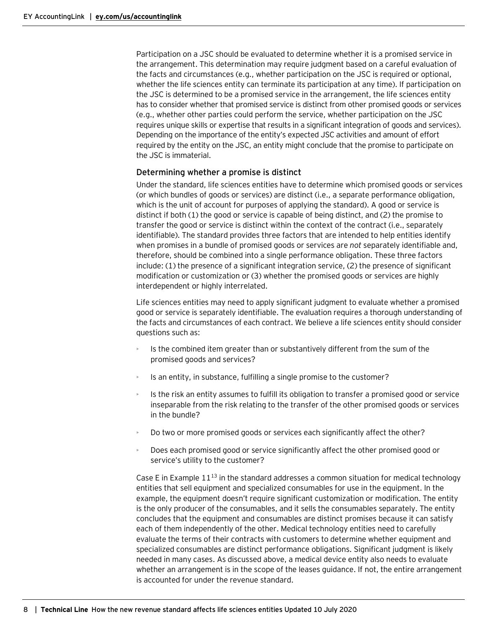Participation on a JSC should be evaluated to determine whether it is a promised service in the arrangement. This determination may require judgment based on a careful evaluation of the facts and circumstances (e.g., whether participation on the JSC is required or optional, whether the life sciences entity can terminate its participation at any time). If participation on the JSC is determined to be a promised service in the arrangement, the life sciences entity has to consider whether that promised service is distinct from other promised goods or services (e.g., whether other parties could perform the service, whether participation on the JSC requires unique skills or expertise that results in a significant integration of goods and services). Depending on the importance of the entity's expected JSC activities and amount of effort required by the entity on the JSC, an entity might conclude that the promise to participate on the JSC is immaterial.

# Determining whether a promise is distinct

Under the standard, life sciences entities have to determine which promised goods or services (or which bundles of goods or services) are distinct (i.e., a separate performance obligation, which is the unit of account for purposes of applying the standard). A good or service is distinct if both (1) the good or service is capable of being distinct, and (2) the promise to transfer the good or service is distinct within the context of the contract (i.e., separately identifiable). The standard provides three factors that are intended to help entities identify when promises in a bundle of promised goods or services are *not* separately identifiable and, therefore, should be combined into a single performance obligation. These three factors include: (1) the presence of a significant integration service, (2) the presence of significant modification or customization or (3) whether the promised goods or services are highly interdependent or highly interrelated.

Life sciences entities may need to apply significant judgment to evaluate whether a promised good or service is separately identifiable. The evaluation requires a thorough understanding of the facts and circumstances of each contract. We believe a life sciences entity should consider questions such as:

- Is the combined item greater than or substantively different from the sum of the promised goods and services?
- Is an entity, in substance, fulfilling a single promise to the customer?
- Is the risk an entity assumes to fulfill its obligation to transfer a promised good or service inseparable from the risk relating to the transfer of the other promised goods or services in the bundle?
- Do two or more promised goods or services each significantly affect the other?
- Does each promised good or service significantly affect the other promised good or service's utility to the customer?

Case E in Example  $11^{13}$  in the standard addresses a common situation for medical technology entities that sell equipment and specialized consumables for use in the equipment. In the example, the equipment doesn't require significant customization or modification. The entity is the only producer of the consumables, and it sells the consumables separately. The entity concludes that the equipment and consumables are distinct promises because it can satisfy each of them independently of the other. Medical technology entities need to carefully evaluate the terms of their contracts with customers to determine whether equipment and specialized consumables are distinct performance obligations. Significant judgment is likely needed in many cases. As discussed above, a medical device entity also needs to evaluate whether an arrangement is in the scope of the leases guidance. If not, the entire arrangement is accounted for under the revenue standard.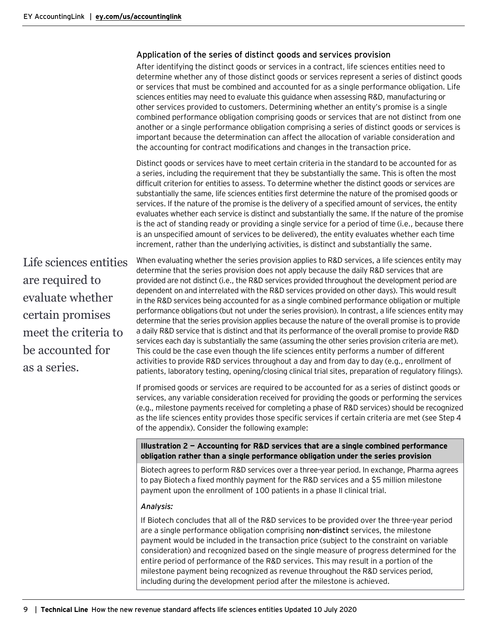#### Application of the series of distinct goods and services provision

After identifying the distinct goods or services in a contract, life sciences entities need to determine whether any of those distinct goods or services represent a series of distinct goods or services that must be combined and accounted for as a single performance obligation. Life sciences entities may need to evaluate this guidance when assessing R&D, manufacturing or other services provided to customers. Determining whether an entity's promise is a single combined performance obligation comprising goods or services that are not distinct from one another or a single performance obligation comprising a series of distinct goods or services is important because the determination can affect the allocation of variable consideration and the accounting for contract modifications and changes in the transaction price.

Distinct goods or services have to meet certain criteria in the standard to be accounted for as a series, including the requirement that they be substantially the same. This is often the most difficult criterion for entities to assess. To determine whether the distinct goods or services are substantially the same, life sciences entities first determine the nature of the promised goods or services. If the nature of the promise is the delivery of a specified amount of services, the entity evaluates whether each service is distinct and substantially the same. If the nature of the promise is the act of standing ready or providing a single service for a period of time (i.e., because there is an unspecified amount of services to be delivered), the entity evaluates whether each time increment, rather than the underlying activities, is distinct and substantially the same.

Life sciences entities are required to evaluate whether certain promises meet the criteria to be accounted for as a series.

When evaluating whether the series provision applies to R&D services, a life sciences entity may determine that the series provision does not apply because the daily R&D services that are provided are not distinct (i.e., the R&D services provided throughout the development period are dependent on and interrelated with the R&D services provided on other days). This would result in the R&D services being accounted for as a single combined performance obligation or multiple performance obligations (but not under the series provision). In contrast, a life sciences entity may determine that the series provision applies because the nature of the overall promise is to provide a daily R&D service that is distinct and that its performance of the overall promise to provide R&D services each day is substantially the same (assuming the other series provision criteria are met). This could be the case even though the life sciences entity performs a number of different activities to provide R&D services throughout a day and from day to day (e.g., enrollment of patients, laboratory testing, opening/closing clinical trial sites, preparation of regulatory filings).

If promised goods or services are required to be accounted for as a series of distinct goods or services, any variable consideration received for providing the goods or performing the services (e.g., milestone payments received for completing a phase of R&D services) should be recognized as the life sciences entity provides those specific services if certain criteria are met (see Step 4 of the appendix). Consider the following example:

#### **Illustration 2 — Accounting for R&D services that are a single combined performance obligation rather than a single performance obligation under the series provision**

Biotech agrees to perform R&D services over a three-year period. In exchange, Pharma agrees to pay Biotech a fixed monthly payment for the R&D services and a \$5 million milestone payment upon the enrollment of 100 patients in a phase II clinical trial.

#### *Analysis:*

If Biotech concludes that all of the R&D services to be provided over the three-year period are a single performance obligation comprising **non-distinct** services, the milestone payment would be included in the transaction price (subject to the constraint on variable consideration) and recognized based on the single measure of progress determined for the entire period of performance of the R&D services. This may result in a portion of the milestone payment being recognized as revenue throughout the R&D services period, including during the development period after the milestone is achieved.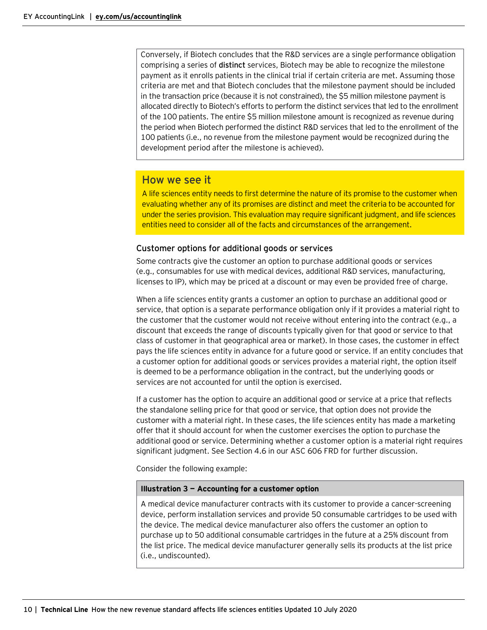Conversely, if Biotech concludes that the R&D services are a single performance obligation comprising a series of **distinct** services, Biotech may be able to recognize the milestone payment as it enrolls patients in the clinical trial if certain criteria are met. Assuming those criteria are met and that Biotech concludes that the milestone payment should be included in the transaction price (because it is not constrained), the \$5 million milestone payment is allocated directly to Biotech's efforts to perform the distinct services that led to the enrollment of the 100 patients. The entire \$5 million milestone amount is recognized as revenue during the period when Biotech performed the distinct R&D services that led to the enrollment of the 100 patients (i.e., no revenue from the milestone payment would be recognized during the development period after the milestone is achieved).

# How we see it

A life sciences entity needs to first determine the nature of its promise to the customer when evaluating whether any of its promises are distinct and meet the criteria to be accounted for under the series provision. This evaluation may require significant judgment, and life sciences entities need to consider all of the facts and circumstances of the arrangement.

# Customer options for additional goods or services

Some contracts give the customer an option to purchase additional goods or services (e.g., consumables for use with medical devices, additional R&D services, manufacturing, licenses to IP), which may be priced at a discount or may even be provided free of charge.

When a life sciences entity grants a customer an option to purchase an additional good or service, that option is a separate performance obligation only if it provides a material right to the customer that the customer would not receive without entering into the contract (e.g., a discount that exceeds the range of discounts typically given for that good or service to that class of customer in that geographical area or market). In those cases, the customer in effect pays the life sciences entity in advance for a future good or service. If an entity concludes that a customer option for additional goods or services provides a material right, the option itself is deemed to be a performance obligation in the contract, but the underlying goods or services are not accounted for until the option is exercised.

If a customer has the option to acquire an additional good or service at a price that reflects the standalone selling price for that good or service, that option does not provide the customer with a material right. In these cases, the life sciences entity has made a marketing offer that it should account for when the customer exercises the option to purchase the additional good or service. Determining whether a customer option is a material right requires significant judgment. See Section 4.6 in our ASC 606 FRD for further discussion.

Consider the following example:

#### **Illustration 3 — Accounting for a customer option**

A medical device manufacturer contracts with its customer to provide a cancer-screening device, perform installation services and provide 50 consumable cartridges to be used with the device. The medical device manufacturer also offers the customer an option to purchase up to 50 additional consumable cartridges in the future at a 25% discount from the list price. The medical device manufacturer generally sells its products at the list price (i.e., undiscounted).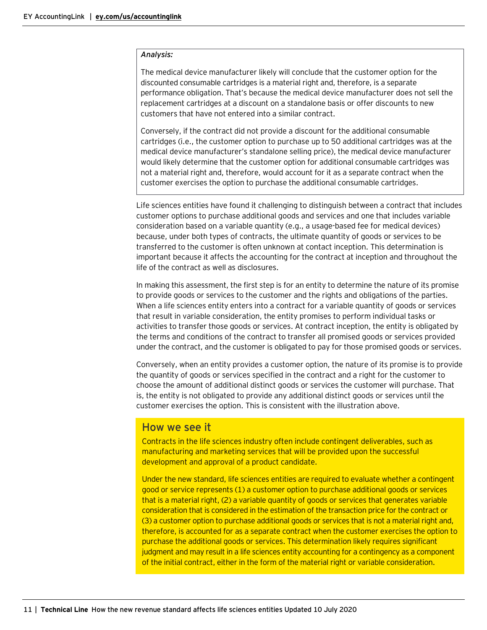#### *Analysis:*

The medical device manufacturer likely will conclude that the customer option for the discounted consumable cartridges is a material right and, therefore, is a separate performance obligation. That's because the medical device manufacturer does not sell the replacement cartridges at a discount on a standalone basis or offer discounts to new customers that have not entered into a similar contract.

Conversely, if the contract did not provide a discount for the additional consumable cartridges (i.e., the customer option to purchase up to 50 additional cartridges was at the medical device manufacturer's standalone selling price), the medical device manufacturer would likely determine that the customer option for additional consumable cartridges was not a material right and, therefore, would account for it as a separate contract when the customer exercises the option to purchase the additional consumable cartridges.

Life sciences entities have found it challenging to distinguish between a contract that includes customer options to purchase additional goods and services and one that includes variable consideration based on a variable quantity (e.g., a usage-based fee for medical devices) because, under both types of contracts, the ultimate quantity of goods or services to be transferred to the customer is often unknown at contact inception. This determination is important because it affects the accounting for the contract at inception and throughout the life of the contract as well as disclosures.

In making this assessment, the first step is for an entity to determine the nature of its promise to provide goods or services to the customer and the rights and obligations of the parties. When a life sciences entity enters into a contract for a variable quantity of goods or services that result in variable consideration, the entity promises to perform individual tasks or activities to transfer those goods or services. At contract inception, the entity is obligated by the terms and conditions of the contract to transfer all promised goods or services provided under the contract, and the customer is obligated to pay for those promised goods or services.

Conversely, when an entity provides a customer option, the nature of its promise is to provide the quantity of goods or services specified in the contract and a right for the customer to choose the amount of additional distinct goods or services the customer will purchase. That is, the entity is not obligated to provide any additional distinct goods or services until the customer exercises the option. This is consistent with the illustration above.

# How we see it

Contracts in the life sciences industry often include contingent deliverables, such as manufacturing and marketing services that will be provided upon the successful development and approval of a product candidate.

Under the new standard, life sciences entities are required to evaluate whether a contingent good or service represents (1) a customer option to purchase additional goods or services that is a material right, (2) a variable quantity of goods or services that generates variable consideration that is considered in the estimation of the transaction price for the contract or (3) a customer option to purchase additional goods or services that is not a material right and, therefore, is accounted for as a separate contract when the customer exercises the option to purchase the additional goods or services. This determination likely requires significant judgment and may result in a life sciences entity accounting for a contingency as a component of the initial contract, either in the form of the material right or variable consideration.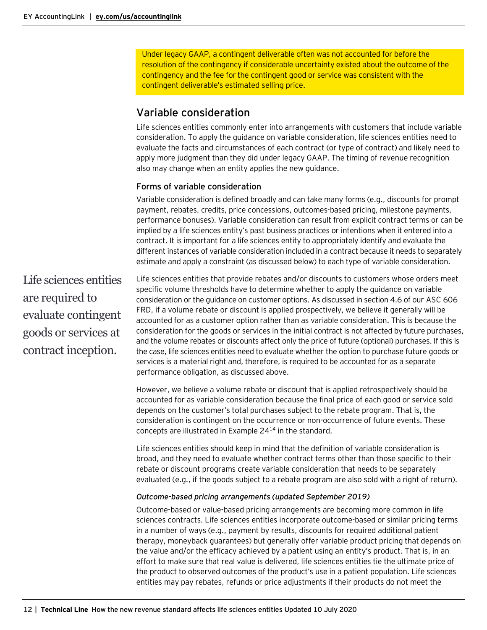Under legacy GAAP, a contingent deliverable often was not accounted for before the resolution of the contingency if considerable uncertainty existed about the outcome of the contingency and the fee for the contingent good or service was consistent with the contingent deliverable's estimated selling price.

# <span id="page-11-0"></span>Variable consideration

Life sciences entities commonly enter into arrangements with customers that include variable consideration. To apply the guidance on variable consideration, life sciences entities need to evaluate the facts and circumstances of each contract (or type of contract) and likely need to apply more judgment than they did under legacy GAAP. The timing of revenue recognition also may change when an entity applies the new guidance.

# Forms of variable consideration

Variable consideration is defined broadly and can take many forms (e.g., discounts for prompt payment, rebates, credits, price concessions, outcomes-based pricing, milestone payments, performance bonuses). Variable consideration can result from explicit contract terms or can be implied by a life sciences entity's past business practices or intentions when it entered into a contract. It is important for a life sciences entity to appropriately identify and evaluate the different instances of variable consideration included in a contract because it needs to separately estimate and apply a constraint (as discussed below) to each type of variable consideration.

Life sciences entities are required to evaluate contingent goods or services at contract inception.

Life sciences entities that provide rebates and/or discounts to customers whose orders meet specific volume thresholds have to determine whether to apply the guidance on variable consideration or the guidance on customer options. As discussed in section 4.6 of our [ASC](http://www.ey.com/Publication/vwLUAssetsAL/FinancialReportingDevelopments_BB3043_RevenueRecognition_30August2017/$FILE/FinancialReportingDevelopments_BB3043_RevenueRecognition_30August2017.pdf) 606 [FRD,](http://www.ey.com/Publication/vwLUAssetsAL/FinancialReportingDevelopments_BB3043_RevenueRecognition_30August2017/$FILE/FinancialReportingDevelopments_BB3043_RevenueRecognition_30August2017.pdf) if a volume rebate or discount is applied prospectively, we believe it generally will be accounted for as a customer option rather than as variable consideration. This is because the consideration for the goods or services in the initial contract is not affected by future purchases, and the volume rebates or discounts affect only the price of future (optional) purchases. If this is the case, life sciences entities need to evaluate whether the option to purchase future goods or services is a material right and, therefore, is required to be accounted for as a separate performance obligation, as discussed above.

However, we believe a volume rebate or discount that is applied retrospectively should be accounted for as variable consideration because the final price of each good or service sold depends on the customer's total purchases subject to the rebate program. That is, the consideration is contingent on the occurrence or non-occurrence of future events. These concepts are illustrated in Example  $24^{14}$  in the standard.

Life sciences entities should keep in mind that the definition of variable consideration is broad, and they need to evaluate whether contract terms other than those specific to their rebate or discount programs create variable consideration that needs to be separately evaluated (e.g., if the goods subject to a rebate program are also sold with a right of return).

# *Outcome-based pricing arrangements (updated September 2019)*

Outcome-based or value-based pricing arrangements are becoming more common in life sciences contracts. Life sciences entities incorporate outcome-based or similar pricing terms in a number of ways (e.g., payment by results, discounts for required additional patient therapy, moneyback guarantees) but generally offer variable product pricing that depends on the value and/or the efficacy achieved by a patient using an entity's product. That is, in an effort to make sure that real value is delivered, life sciences entities tie the ultimate price of the product to observed outcomes of the product's use in a patient population. Life sciences entities may pay rebates, refunds or price adjustments if their products do not meet the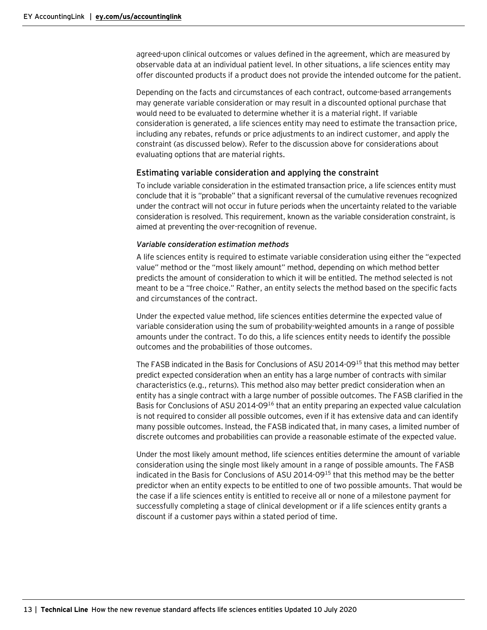agreed-upon clinical outcomes or values defined in the agreement, which are measured by observable data at an individual patient level. In other situations, a life sciences entity may offer discounted products if a product does not provide the intended outcome for the patient.

Depending on the facts and circumstances of each contract, outcome-based arrangements may generate variable consideration or may result in a discounted optional purchase that would need to be evaluated to determine whether it is a material right. If variable consideration is generated, a life sciences entity may need to estimate the transaction price, including any rebates, refunds or price adjustments to an indirect customer, and apply the constraint (as discussed below). Refer to the discussion above for considerations about evaluating options that are material rights.

#### Estimating variable consideration and applying the constraint

To include variable consideration in the estimated transaction price, a life sciences entity must conclude that it is "probable" that a significant reversal of the cumulative revenues recognized under the contract will not occur in future periods when the uncertainty related to the variable consideration is resolved. This requirement, known as the variable consideration constraint, is aimed at preventing the over-recognition of revenue.

#### *Variable consideration estimation methods*

A life sciences entity is required to estimate variable consideration using either the "expected value" method or the "most likely amount" method, depending on which method better predicts the amount of consideration to which it will be entitled. The method selected is not meant to be a "free choice." Rather, an entity selects the method based on the specific facts and circumstances of the contract.

Under the expected value method, life sciences entities determine the expected value of variable consideration using the sum of probability-weighted amounts in a range of possible amounts under the contract. To do this, a life sciences entity needs to identify the possible outcomes and the probabilities of those outcomes.

The FASB indicated in the Basis for Conclusions of ASU 2014-09<sup>15</sup> that this method may better predict expected consideration when an entity has a large number of contracts with similar characteristics (e.g., returns). This method also may better predict consideration when an entity has a single contract with a large number of possible outcomes. The FASB clarified in the Basis for Conclusions of ASU 2014-09<sup>16</sup> that an entity preparing an expected value calculation is not required to consider all possible outcomes, even if it has extensive data and can identify many possible outcomes. Instead, the FASB indicated that, in many cases, a limited number of discrete outcomes and probabilities can provide a reasonable estimate of the expected value.

Under the most likely amount method, life sciences entities determine the amount of variable consideration using the single most likely amount in a range of possible amounts. The FASB indicated in the Basis for Conclusions of ASU 2014-09<sup>15</sup> that this method may be the better predictor when an entity expects to be entitled to one of two possible amounts. That would be the case if a life sciences entity is entitled to receive all or none of a milestone payment for successfully completing a stage of clinical development or if a life sciences entity grants a discount if a customer pays within a stated period of time.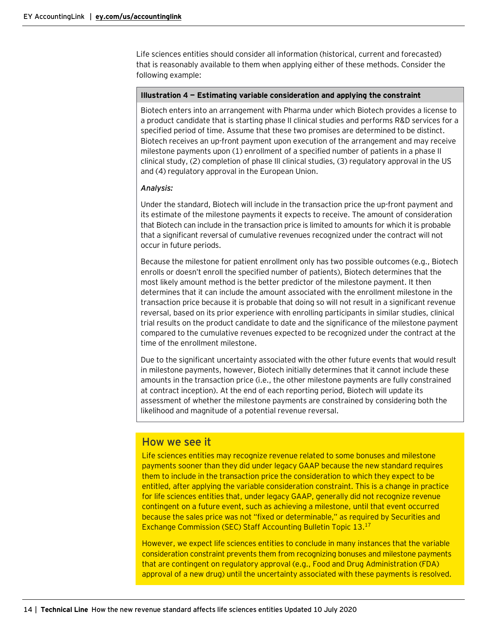Life sciences entities should consider all information (historical, current and forecasted) that is reasonably available to them when applying either of these methods. Consider the following example:

#### **Illustration 4 — Estimating variable consideration and applying the constraint**

Biotech enters into an arrangement with Pharma under which Biotech provides a license to a product candidate that is starting phase II clinical studies and performs R&D services for a specified period of time. Assume that these two promises are determined to be distinct. Biotech receives an up-front payment upon execution of the arrangement and may receive milestone payments upon (1) enrollment of a specified number of patients in a phase II clinical study, (2) completion of phase III clinical studies, (3) regulatory approval in the US and (4) regulatory approval in the European Union.

#### *Analysis:*

Under the standard, Biotech will include in the transaction price the up-front payment and its estimate of the milestone payments it expects to receive. The amount of consideration that Biotech can include in the transaction price is limited to amounts for which it is probable that a significant reversal of cumulative revenues recognized under the contract will not occur in future periods.

Because the milestone for patient enrollment only has two possible outcomes (e.g., Biotech enrolls or doesn't enroll the specified number of patients), Biotech determines that the most likely amount method is the better predictor of the milestone payment. It then determines that it can include the amount associated with the enrollment milestone in the transaction price because it is probable that doing so will not result in a significant revenue reversal, based on its prior experience with enrolling participants in similar studies, clinical trial results on the product candidate to date and the significance of the milestone payment compared to the cumulative revenues expected to be recognized under the contract at the time of the enrollment milestone.

Due to the significant uncertainty associated with the other future events that would result in milestone payments, however, Biotech initially determines that it cannot include these amounts in the transaction price (i.e., the other milestone payments are fully constrained at contract inception). At the end of each reporting period, Biotech will update its assessment of whether the milestone payments are constrained by considering both the likelihood and magnitude of a potential revenue reversal.

# How we see it

Life sciences entities may recognize revenue related to some bonuses and milestone payments sooner than they did under legacy GAAP because the new standard requires them to include in the transaction price the consideration to which they expect to be entitled, after applying the variable consideration constraint. This is a change in practice for life sciences entities that, under legacy GAAP, generally did not recognize revenue contingent on a future event, such as achieving a milestone, until that event occurred because the sales price was not "fixed or determinable," as required by Securities and Exchange Commission (SEC) Staff Accounting Bulletin Topic 13.17

However, we expect life sciences entities to conclude in many instances that the variable consideration constraint prevents them from recognizing bonuses and milestone payments that are contingent on regulatory approval (e.g., Food and Drug Administration (FDA) approval of a new drug) until the uncertainty associated with these payments is resolved.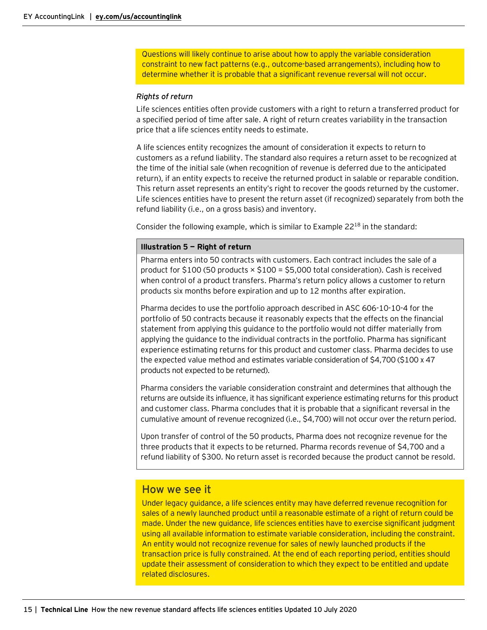Questions will likely continue to arise about how to apply the variable consideration constraint to new fact patterns (e.g., outcome-based arrangements), including how to determine whether it is probable that a significant revenue reversal will not occur.

#### *Rights of return*

Life sciences entities often provide customers with a right to return a transferred product for a specified period of time after sale. A right of return creates variability in the transaction price that a life sciences entity needs to estimate.

A life sciences entity recognizes the amount of consideration it expects to return to customers as a refund liability. The standard also requires a return asset to be recognized at the time of the initial sale (when recognition of revenue is deferred due to the anticipated return), if an entity expects to receive the returned product in salable or reparable condition. This return asset represents an entity's right to recover the goods returned by the customer. Life sciences entities have to present the return asset (if recognized) separately from both the refund liability (i.e., on a gross basis) and inventory.

Consider the following example, which is similar to Example  $22^{18}$  in the standard:

#### **Illustration 5 — Right of return**

Pharma enters into 50 contracts with customers. Each contract includes the sale of a product for  $$100$  (50 products  $\times$   $$100 = $5,000$  total consideration). Cash is received when control of a product transfers. Pharma's return policy allows a customer to return products six months before expiration and up to 12 months after expiration.

Pharma decides to use the portfolio approach described in ASC 606-10-10-4 for the portfolio of 50 contracts because it reasonably expects that the effects on the financial statement from applying this guidance to the portfolio would not differ materially from applying the guidance to the individual contracts in the portfolio. Pharma has significant experience estimating returns for this product and customer class. Pharma decides to use the expected value method and estimates variable consideration of \$4,700 (\$100 x 47 products not expected to be returned).

Pharma considers the variable consideration constraint and determines that although the returns are outside its influence, it has significant experience estimating returns for this product and customer class. Pharma concludes that it is probable that a significant reversal in the cumulative amount of revenue recognized (i.e., \$4,700) will not occur over the return period.

Upon transfer of control of the 50 products, Pharma does not recognize revenue for the three products that it expects to be returned. Pharma records revenue of \$4,700 and a refund liability of \$300. No return asset is recorded because the product cannot be resold.

# How we see it

Under legacy guidance, a life sciences entity may have deferred revenue recognition for sales of a newly launched product until a reasonable estimate of a right of return could be made. Under the new guidance, life sciences entities have to exercise significant judgment using all available information to estimate variable consideration, including the constraint. An entity would not recognize revenue for sales of newly launched products if the transaction price is fully constrained. At the end of each reporting period, entities should update their assessment of consideration to which they expect to be entitled and update related disclosures.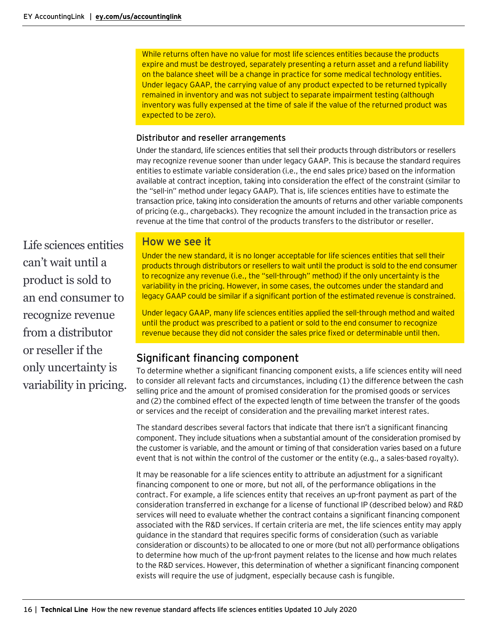While returns often have no value for most life sciences entities because the products expire and must be destroyed, separately presenting a return asset and a refund liability on the balance sheet will be a change in practice for some medical technology entities. Under legacy GAAP, the carrying value of any product expected to be returned typically remained in inventory and was not subject to separate impairment testing (although inventory was fully expensed at the time of sale if the value of the returned product was expected to be zero).

# Distributor and reseller arrangements

Under the standard, life sciences entities that sell their products through distributors or resellers may recognize revenue sooner than under legacy GAAP. This is because the standard requires entities to estimate variable consideration (i.e., the end sales price) based on the information available at contract inception, taking into consideration the effect of the constraint (similar to the "sell-in" method under legacy GAAP). That is, life sciences entities have to estimate the transaction price, taking into consideration the amounts of returns and other variable components of pricing (e.g., chargebacks). They recognize the amount included in the transaction price as revenue at the time that control of the products transfers to the distributor or reseller.

Life sciences entities can't wait until a product is sold to an end consumer to recognize revenue from a distributor or reseller if the only uncertainty is variability in pricing.

# How we see it

Under the new standard, it is no longer acceptable for life sciences entities that sell their products through distributors or resellers to wait until the product is sold to the end consumer to recognize any revenue (i.e., the "sell-through" method) if the only uncertainty is the variability in the pricing. However, in some cases, the outcomes under the standard and legacy GAAP could be similar if a significant portion of the estimated revenue is constrained.

Under legacy GAAP, many life sciences entities applied the sell-through method and waited until the product was prescribed to a patient or sold to the end consumer to recognize revenue because they did not consider the sales price fixed or determinable until then.

# <span id="page-15-0"></span>Significant financing component

To determine whether a significant financing component exists, a life sciences entity will need to consider all relevant facts and circumstances, including (1) the difference between the cash selling price and the amount of promised consideration for the promised goods or services and (2) the combined effect of the expected length of time between the transfer of the goods or services and the receipt of consideration and the prevailing market interest rates.

The standard describes several factors that indicate that there isn't a significant financing component. They include situations when a substantial amount of the consideration promised by the customer is variable, and the amount or timing of that consideration varies based on a future event that is not within the control of the customer or the entity (e.g., a sales-based royalty).

It may be reasonable for a life sciences entity to attribute an adjustment for a significant financing component to one or more, but not all, of the performance obligations in the contract. For example, a life sciences entity that receives an up-front payment as part of the consideration transferred in exchange for a license of functional IP (described below) and R&D services will need to evaluate whether the contract contains a significant financing component associated with the R&D services. If certain criteria are met, the life sciences entity may apply guidance in the standard that requires specific forms of consideration (such as variable consideration or discounts) to be allocated to one or more (but not all) performance obligations to determine how much of the up-front payment relates to the license and how much relates to the R&D services. However, this determination of whether a significant financing component exists will require the use of judgment, especially because cash is fungible.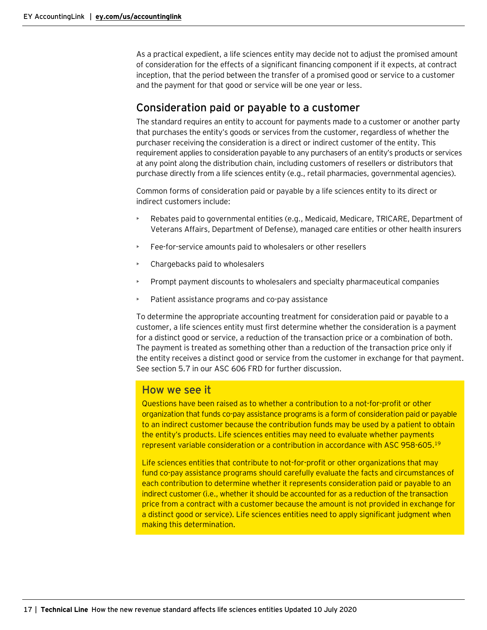As a practical expedient, a life sciences entity may decide not to adjust the promised amount of consideration for the effects of a significant financing component if it expects, at contract inception, that the period between the transfer of a promised good or service to a customer and the payment for that good or service will be one year or less.

# <span id="page-16-0"></span>Consideration paid or payable to a customer

The standard requires an entity to account for payments made to a customer or another party that purchases the entity's goods or services from the customer, regardless of whether the purchaser receiving the consideration is a direct or indirect customer of the entity. This requirement applies to consideration payable to any purchasers of an entity's products or services at any point along the distribution chain, including customers of resellers or distributors that purchase directly from a life sciences entity (e.g., retail pharmacies, governmental agencies).

Common forms of consideration paid or payable by a life sciences entity to its direct or indirect customers include:

- Rebates paid to governmental entities (e.g., Medicaid, Medicare, TRICARE, Department of Veterans Affairs, Department of Defense), managed care entities or other health insurers
- Fee-for-service amounts paid to wholesalers or other resellers
- Chargebacks paid to wholesalers
- Prompt payment discounts to wholesalers and specialty pharmaceutical companies
- Patient assistance programs and co-pay assistance

To determine the appropriate accounting treatment for consideration paid or payable to a customer, a life sciences entity must first determine whether the consideration is a payment for a distinct good or service, a reduction of the transaction price or a combination of both. The payment is treated as something other than a reduction of the transaction price only if the entity receives a distinct good or service from the customer in exchange for that payment. See section 5.7 in our ASC 606 FRD for further discussion.

# How we see it

Questions have been raised as to whether a contribution to a not-for-profit or other organization that funds co-pay assistance programs is a form of consideration paid or payable to an indirect customer because the contribution funds may be used by a patient to obtain the entity's products. Life sciences entities may need to evaluate whether payments represent variable consideration or a contribution in accordance with ASC 958-605. 19

Life sciences entities that contribute to not-for-profit or other organizations that may fund co-pay assistance programs should carefully evaluate the facts and circumstances of each contribution to determine whether it represents consideration paid or payable to an indirect customer (i.e., whether it should be accounted for as a reduction of the transaction price from a contract with a customer because the amount is not provided in exchange for a distinct good or service). Life sciences entities need to apply significant judgment when making this determination.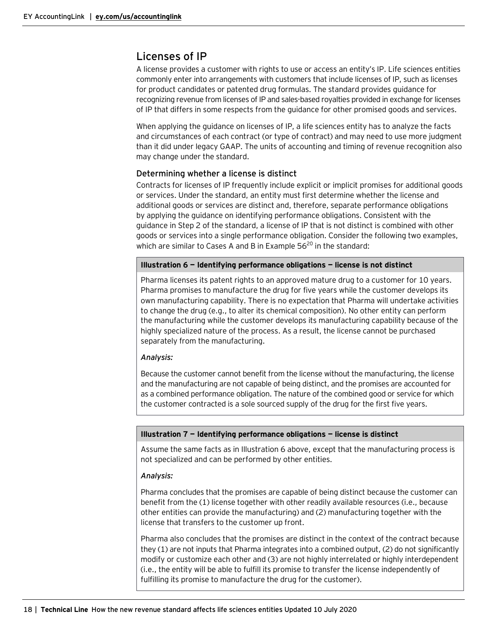# <span id="page-17-0"></span>Licenses of IP

A license provides a customer with rights to use or access an entity's IP. Life sciences entities commonly enter into arrangements with customers that include licenses of IP, such as licenses for product candidates or patented drug formulas. The standard provides guidance for recognizing revenue from licenses of IP and sales-based royalties provided in exchange for licenses of IP that differs in some respects from the guidance for other promised goods and services.

When applying the guidance on licenses of IP, a life sciences entity has to analyze the facts and circumstances of each contract (or type of contract) and may need to use more judgment than it did under legacy GAAP. The units of accounting and timing of revenue recognition also may change under the standard.

# Determining whether a license is distinct

Contracts for licenses of IP frequently include explicit or implicit promises for additional goods or services. Under the standard, an entity must first determine whether the license and additional goods or services are distinct and, therefore, separate performance obligations by applying the guidance on identifying performance obligations. Consistent with the guidance in Step 2 of the standard, a license of IP that is not distinct is combined with other goods or services into a single performance obligation. Consider the following two examples, which are similar to Cases A and B in Example  $56^{20}$  in the standard:

#### **Illustration 6 — Identifying performance obligations — license is not distinct**

Pharma licenses its patent rights to an approved mature drug to a customer for 10 years. Pharma promises to manufacture the drug for five years while the customer develops its own manufacturing capability. There is no expectation that Pharma will undertake activities to change the drug (e.g., to alter its chemical composition). No other entity can perform the manufacturing while the customer develops its manufacturing capability because of the highly specialized nature of the process. As a result, the license cannot be purchased separately from the manufacturing.

#### *Analysis:*

Because the customer cannot benefit from the license without the manufacturing, the license and the manufacturing are not capable of being distinct, and the promises are accounted for as a combined performance obligation. The nature of the combined good or service for which the customer contracted is a sole sourced supply of the drug for the first five years.

#### **Illustration 7 — Identifying performance obligations — license is distinct**

Assume the same facts as in Illustration 6 above, except that the manufacturing process is not specialized and can be performed by other entities.

#### *Analysis:*

Pharma concludes that the promises are capable of being distinct because the customer can benefit from the (1) license together with other readily available resources (i.e., because other entities can provide the manufacturing) and (2) manufacturing together with the license that transfers to the customer up front.

Pharma also concludes that the promises are distinct in the context of the contract because they (1) are not inputs that Pharma integrates into a combined output, (2) do not significantly modify or customize each other and (3) are not highly interrelated or highly interdependent (i.e., the entity will be able to fulfill its promise to transfer the license independently of fulfilling its promise to manufacture the drug for the customer).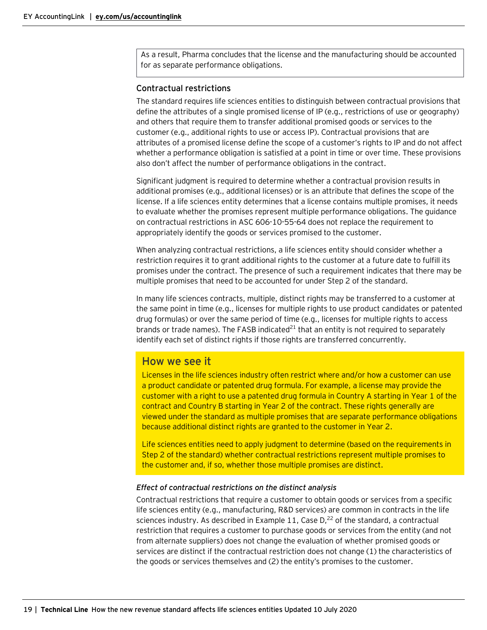As a result, Pharma concludes that the license and the manufacturing should be accounted for as separate performance obligations.

#### Contractual restrictions

The standard requires life sciences entities to distinguish between contractual provisions that define the attributes of a single promised license of IP (e.g., restrictions of use or geography) and others that require them to transfer additional promised goods or services to the customer (e.g., additional rights to use or access IP). Contractual provisions that are attributes of a promised license define the scope of a customer's rights to IP and do not affect whether a performance obligation is satisfied at a point in time or over time. These provisions also don't affect the number of performance obligations in the contract.

Significant judgment is required to determine whether a contractual provision results in additional promises (e.g., additional licenses) or is an attribute that defines the scope of the license. If a life sciences entity determines that a license contains multiple promises, it needs to evaluate whether the promises represent multiple performance obligations. The guidance on contractual restrictions in ASC 606-10-55-64 does not replace the requirement to appropriately identify the goods or services promised to the customer.

When analyzing contractual restrictions, a life sciences entity should consider whether a restriction requires it to grant additional rights to the customer at a future date to fulfill its promises under the contract. The presence of such a requirement indicates that there may be multiple promises that need to be accounted for under Step 2 of the standard.

In many life sciences contracts, multiple, distinct rights may be transferred to a customer at the same point in time (e.g., licenses for multiple rights to use product candidates or patented drug formulas) or over the same period of time (e.g., licenses for multiple rights to access brands or trade names). The FASB indicated $^{21}$  that an entity is not required to separately identify each set of distinct rights if those rights are transferred concurrently.

# How we see it

Licenses in the life sciences industry often restrict where and/or how a customer can use a product candidate or patented drug formula. For example, a license may provide the customer with a right to use a patented drug formula in Country A starting in Year 1 of the contract and Country B starting in Year 2 of the contract. These rights generally are viewed under the standard as multiple promises that are separate performance obligations because additional distinct rights are granted to the customer in Year 2.

Life sciences entities need to apply judgment to determine (based on the requirements in Step 2 of the standard) whether contractual restrictions represent multiple promises to the customer and, if so, whether those multiple promises are distinct.

#### *Effect of contractual restrictions on the distinct analysis*

Contractual restrictions that require a customer to obtain goods or services from a specific life sciences entity (e.g., manufacturing, R&D services) are common in contracts in the life sciences industry. As described in Example 11, Case  $D_1^{22}$  of the standard, a contractual restriction that requires a customer to purchase goods or services from the entity (and not from alternate suppliers) does not change the evaluation of whether promised goods or services are distinct if the contractual restriction does not change (1) the characteristics of the goods or services themselves and (2) the entity's promises to the customer.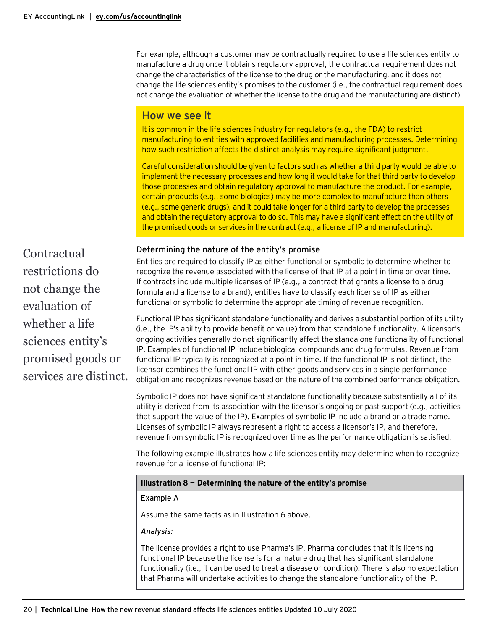For example, although a customer may be contractually required to use a life sciences entity to manufacture a drug once it obtains regulatory approval, the contractual requirement does not change the characteristics of the license to the drug or the manufacturing, and it does not change the life sciences entity's promises to the customer (i.e., the contractual requirement does not change the evaluation of whether the license to the drug and the manufacturing are distinct).

# How we see it

It is common in the life sciences industry for regulators (e.g., the FDA) to restrict manufacturing to entities with approved facilities and manufacturing processes. Determining how such restriction affects the distinct analysis may require significant judgment.

Careful consideration should be given to factors such as whether a third party would be able to implement the necessary processes and how long it would take for that third party to develop those processes and obtain regulatory approval to manufacture the product. For example, certain products (e.g., some biologics) may be more complex to manufacture than others (e.g., some generic drugs), and it could take longer for a third party to develop the processes and obtain the regulatory approval to do so. This may have a significant effect on the utility of the promised goods or services in the contract (e.g., a license of IP and manufacturing).

# Determining the nature of the entity's promise

Entities are required to classify IP as either functional or symbolic to determine whether to recognize the revenue associated with the license of that IP at a point in time or over time. If contracts include multiple licenses of IP (e.g., a contract that grants a license to a drug formula and a license to a brand), entities have to classify each license of IP as either functional or symbolic to determine the appropriate timing of revenue recognition.

Functional IP has significant standalone functionality and derives a substantial portion of its utility (i.e., the IP's ability to provide benefit or value) from that standalone functionality. A licensor's ongoing activities generally do not significantly affect the standalone functionality of functional IP. Examples of functional IP include biological compounds and drug formulas. Revenue from functional IP typically is recognized at a point in time. If the functional IP is not distinct, the licensor combines the functional IP with other goods and services in a single performance obligation and recognizes revenue based on the nature of the combined performance obligation.

Symbolic IP does not have significant standalone functionality because substantially all of its utility is derived from its association with the licensor's ongoing or past support (e.g., activities that support the value of the IP). Examples of symbolic IP include a brand or a trade name. Licenses of symbolic IP always represent a right to access a licensor's IP, and therefore, revenue from symbolic IP is recognized over time as the performance obligation is satisfied.

The following example illustrates how a life sciences entity may determine when to recognize revenue for a license of functional IP:

#### **Illustration 8 — Determining the nature of the entity's promise**

#### **Example A**

Assume the same facts as in Illustration 6 above.

#### *Analysis:*

The license provides a right to use Pharma's IP. Pharma concludes that it is licensing functional IP because the license is for a mature drug that has significant standalone functionality (i.e., it can be used to treat a disease or condition). There is also no expectation that Pharma will undertake activities to change the standalone functionality of the IP.

Contractual restrictions do not change the evaluation of whether a life sciences entity's promised goods or services are distinct.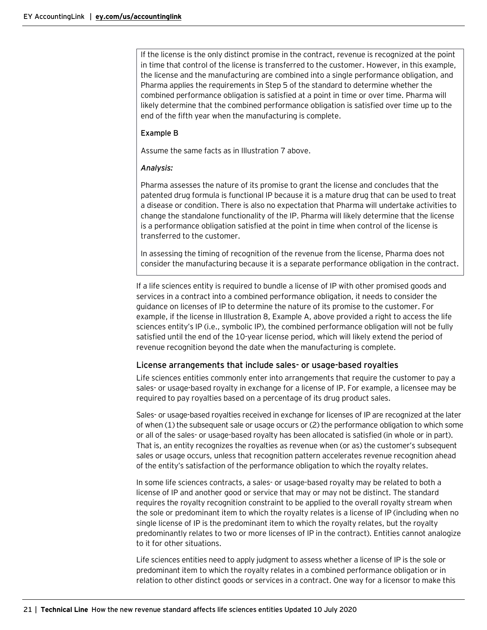If the license is the only distinct promise in the contract, revenue is recognized at the point in time that control of the license is transferred to the customer. However, in this example, the license and the manufacturing are combined into a single performance obligation, and Pharma applies the requirements in Step 5 of the standard to determine whether the combined performance obligation is satisfied at a point in time or over time. Pharma will likely determine that the combined performance obligation is satisfied over time up to the end of the fifth year when the manufacturing is complete.

#### **Example B**

Assume the same facts as in Illustration 7 above.

#### *Analysis:*

Pharma assesses the nature of its promise to grant the license and concludes that the patented drug formula is functional IP because it is a mature drug that can be used to treat a disease or condition. There is also no expectation that Pharma will undertake activities to change the standalone functionality of the IP. Pharma will likely determine that the license is a performance obligation satisfied at the point in time when control of the license is transferred to the customer.

In assessing the timing of recognition of the revenue from the license, Pharma does not consider the manufacturing because it is a separate performance obligation in the contract.

If a life sciences entity is required to bundle a license of IP with other promised goods and services in a contract into a combined performance obligation, it needs to consider the guidance on licenses of IP to determine the nature of its promise to the customer. For example, if the license in Illustration 8, Example A, above provided a right to access the life sciences entity's IP (i.e., symbolic IP), the combined performance obligation will not be fully satisfied until the end of the 10-year license period, which will likely extend the period of revenue recognition beyond the date when the manufacturing is complete.

#### License arrangements that include sales- or usage-based royalties

Life sciences entities commonly enter into arrangements that require the customer to pay a sales- or usage-based royalty in exchange for a license of IP. For example, a licensee may be required to pay royalties based on a percentage of its drug product sales.

Sales- or usage-based royalties received in exchange for licenses of IP are recognized at the later of when (1) the subsequent sale or usage occurs or (2) the performance obligation to which some or all of the sales- or usage-based royalty has been allocated is satisfied (in whole or in part). That is, an entity recognizes the royalties as revenue when (or as) the customer's subsequent sales or usage occurs, unless that recognition pattern accelerates revenue recognition ahead of the entity's satisfaction of the performance obligation to which the royalty relates.

In some life sciences contracts, a sales- or usage-based royalty may be related to both a license of IP and another good or service that may or may not be distinct. The standard requires the royalty recognition constraint to be applied to the overall royalty stream when the sole or predominant item to which the royalty relates is a license of IP (including when no single license of IP is the predominant item to which the royalty relates, but the royalty predominantly relates to two or more licenses of IP in the contract). Entities cannot analogize to it for other situations.

Life sciences entities need to apply judgment to assess whether a license of IP is the sole or predominant item to which the royalty relates in a combined performance obligation or in relation to other distinct goods or services in a contract. One way for a licensor to make this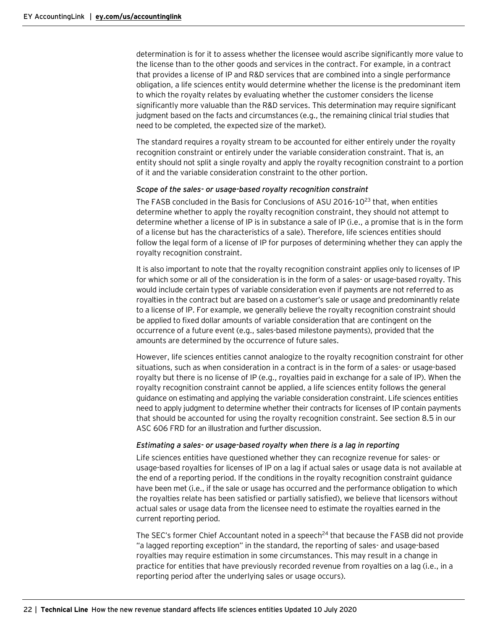determination is for it to assess whether the licensee would ascribe significantly more value to the license than to the other goods and services in the contract. For example, in a contract that provides a license of IP and R&D services that are combined into a single performance obligation, a life sciences entity would determine whether the license is the predominant item to which the royalty relates by evaluating whether the customer considers the license significantly more valuable than the R&D services. This determination may require significant judgment based on the facts and circumstances (e.g., the remaining clinical trial studies that need to be completed, the expected size of the market).

The standard requires a royalty stream to be accounted for either entirely under the royalty recognition constraint or entirely under the variable consideration constraint. That is, an entity should not split a single royalty and apply the royalty recognition constraint to a portion of it and the variable consideration constraint to the other portion.

#### *Scope of the sales- or usage-based royalty recognition constraint*

The FASB concluded in the Basis for Conclusions of ASU 2016-10 $^{23}$  that, when entities determine whether to apply the royalty recognition constraint, they should not attempt to determine whether a license of IP is in substance a sale of IP (i.e., a promise that is in the form of a license but has the characteristics of a sale). Therefore, life sciences entities should follow the legal form of a license of IP for purposes of determining whether they can apply the royalty recognition constraint.

It is also important to note that the royalty recognition constraint applies only to licenses of IP for which some or all of the consideration is in the form of a sales- or usage-based royalty. This would include certain types of variable consideration even if payments are not referred to as royalties in the contract but are based on a customer's sale or usage and predominantly relate to a license of IP. For example, we generally believe the royalty recognition constraint should be applied to fixed dollar amounts of variable consideration that are contingent on the occurrence of a future event (e.g., sales-based milestone payments), provided that the amounts are determined by the occurrence of future sales.

However, life sciences entities cannot analogize to the royalty recognition constraint for other situations, such as when consideration in a contract is in the form of a sales- or usage-based royalty but there is no license of IP (e.g., royalties paid in exchange for a sale of IP). When the royalty recognition constraint cannot be applied, a life sciences entity follows the general guidance on estimating and applying the variable consideration constraint. Life sciences entities need to apply judgment to determine whether their contracts for licenses of IP contain payments that should be accounted for using the royalty recognition constraint. See section 8.5 in our ASC 606 FRD for an illustration and further discussion.

#### *Estimating a sales- or usage-based royalty when there is a lag in reporting*

Life sciences entities have questioned whether they can recognize revenue for sales- or usage-based royalties for licenses of IP on a lag if actual sales or usage data is not available at the end of a reporting period. If the conditions in the royalty recognition constraint guidance have been met (i.e., if the sale or usage has occurred and the performance obligation to which the royalties relate has been satisfied or partially satisfied), we believe that licensors without actual sales or usage data from the licensee need to estimate the royalties earned in the current reporting period.

The SEC's former Chief Accountant noted in a speech<sup>24</sup> that because the FASB did not provide "a lagged reporting exception" in the standard, the reporting of sales- and usage-based royalties may require estimation in some circumstances. This may result in a change in practice for entities that have previously recorded revenue from royalties on a lag (i.e., in a reporting period after the underlying sales or usage occurs).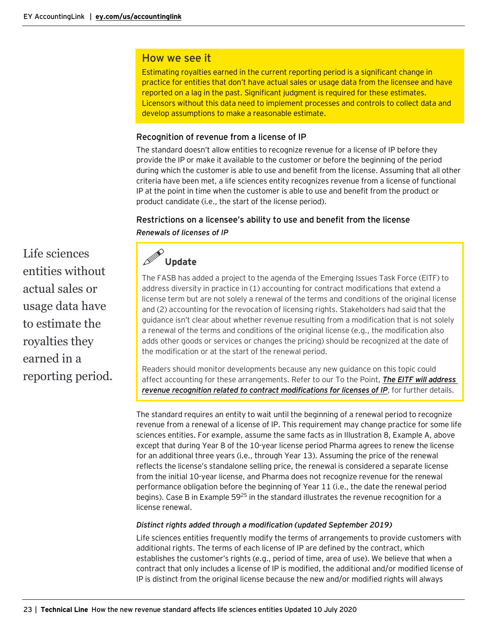# How we see it

Estimating royalties earned in the current reporting period is a significant change in practice for entities that don't have actual sales or usage data from the licensee and have reported on a lag in the past. Significant judgment is required for these estimates. Licensors without this data need to implement processes and controls to collect data and develop assumptions to make a reasonable estimate.

# Recognition of revenue from a license of IP

The standard doesn't allow entities to recognize revenue for a license of IP before they provide the IP or make it available to the customer or before the beginning of the period during which the customer is able to use and benefit from the license. Assuming that all other criteria have been met, a life sciences entity recognizes revenue from a license of functional IP at the point in time when the customer is able to use and benefit from the product or product candidate (i.e., the start of the license period).

# Restrictions on a licensee's ability to use and benefit from the license *Renewals of licenses of IP*

Life sciences entities without actual sales or usage data have to estimate the royalties they earned in a reporting period.



The FASB has added a project to the agenda of the Emerging Issues Task Force (EITF) to address diversity in practice in (1) accounting for contract modifications that extend a license term but are not solely a renewal of the terms and conditions of the original license and (2) accounting for the revocation of licensing rights. Stakeholders had said that the guidance isn't clear about whether revenue resulting from a modification that is not solely a renewal of the terms and conditions of the original license (e.g., the modification also adds other goods or services or changes the pricing) should be recognized at the date of the modification or at the start of the renewal period.

Readers should monitor developments because any new guidance on this topic could affect accounting for these arrangements. Refer to our To the Point, *[The EITF will address](https://www.ey.com/Publication/vwLUAssetsAL/TothePoint_06292-191US_EITFRevRec_23May2019/$FILE/TothePoint_06292-191US_EITFRevRec_23May2019.pdf)  [revenue recognition related to contract modifications for licenses of IP](https://www.ey.com/Publication/vwLUAssetsAL/TothePoint_06292-191US_EITFRevRec_23May2019/$FILE/TothePoint_06292-191US_EITFRevRec_23May2019.pdf)*, for further details.

The standard requires an entity to wait until the beginning of a renewal period to recognize revenue from a renewal of a license of IP. This requirement may change practice for some life sciences entities. For example, assume the same facts as in Illustration 8, Example A, above except that during Year 8 of the 10-year license period Pharma agrees to renew the license for an additional three years (i.e., through Year 13). Assuming the price of the renewal reflects the license's standalone selling price, the renewal is considered a separate license from the initial 10-year license, and Pharma does not recognize revenue for the renewal performance obligation before the beginning of Year 11 (i.e., the date the renewal period begins). Case B in Example  $59^{25}$  in the standard illustrates the revenue recognition for a license renewal.

# *Distinct rights added through a modification (updated September 2019)*

Life sciences entities frequently modify the terms of arrangements to provide customers with additional rights. The terms of each license of IP are defined by the contract, which establishes the customer's rights (e.g., period of time, area of use). We believe that when a contract that only includes a license of IP is modified, the additional and/or modified license of IP is distinct from the original license because the new and/or modified rights will always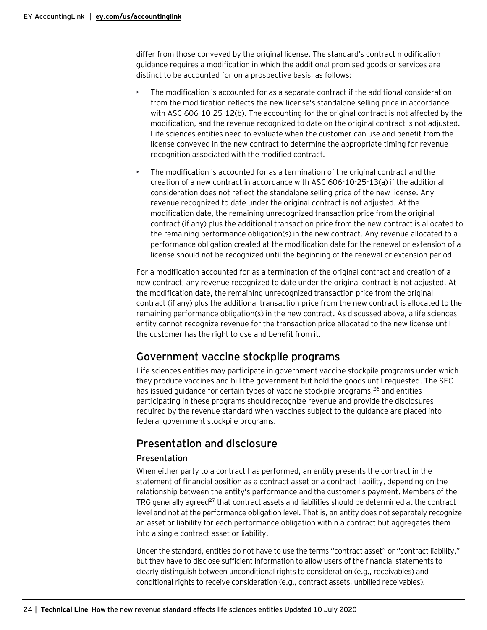differ from those conveyed by the original license. The standard's contract modification guidance requires a modification in which the additional promised goods or services are distinct to be accounted for on a prospective basis, as follows:

- The modification is accounted for as a separate contract if the additional consideration from the modification reflects the new license's standalone selling price in accordance with ASC 606-10-25-12(b). The accounting for the original contract is not affected by the modification, and the revenue recognized to date on the original contract is not adjusted. Life sciences entities need to evaluate when the customer can use and benefit from the license conveyed in the new contract to determine the appropriate timing for revenue recognition associated with the modified contract.
- The modification is accounted for as a termination of the original contract and the creation of a new contract in accordance with ASC 606-10-25-13(a) if the additional consideration does not reflect the standalone selling price of the new license. Any revenue recognized to date under the original contract is not adjusted. At the modification date, the remaining unrecognized transaction price from the original contract (if any) plus the additional transaction price from the new contract is allocated to the remaining performance obligation(s) in the new contract. Any revenue allocated to a performance obligation created at the modification date for the renewal or extension of a license should not be recognized until the beginning of the renewal or extension period.

For a modification accounted for as a termination of the original contract and creation of a new contract, any revenue recognized to date under the original contract is not adjusted. At the modification date, the remaining unrecognized transaction price from the original contract (if any) plus the additional transaction price from the new contract is allocated to the remaining performance obligation(s) in the new contract. As discussed above, a life sciences entity cannot recognize revenue for the transaction price allocated to the new license until the customer has the right to use and benefit from it.

# <span id="page-23-0"></span>Government vaccine stockpile programs

Life sciences entities may participate in government vaccine stockpile programs under which they produce vaccines and bill the government but hold the goods until requested. The SEC has issued guidance for certain types of vaccine stockpile programs, $26$  and entities participating in these programs should recognize revenue and provide the disclosures required by the revenue standard when vaccines subject to the guidance are placed into federal government stockpile programs.

# <span id="page-23-1"></span>Presentation and disclosure

# Presentation

When either party to a contract has performed, an entity presents the contract in the statement of financial position as a contract asset or a contract liability, depending on the relationship between the entity's performance and the customer's payment. Members of the TRG generally agreed $^{27}$  that contract assets and liabilities should be determined at the contract level and not at the performance obligation level. That is, an entity does not separately recognize an asset or liability for each performance obligation within a contract but aggregates them into a single contract asset or liability.

Under the standard, entities do not have to use the terms "contract asset" or "contract liability," but they have to disclose sufficient information to allow users of the financial statements to clearly distinguish between unconditional rights to consideration (e.g., receivables) and conditional rights to receive consideration (e.g., contract assets, unbilled receivables).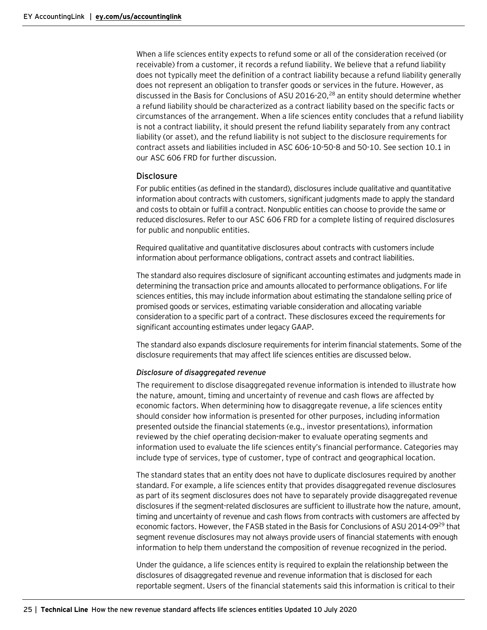When a life sciences entity expects to refund some or all of the consideration received (or receivable) from a customer, it records a refund liability. We believe that a refund liability does not typically meet the definition of a contract liability because a refund liability generally does not represent an obligation to transfer goods or services in the future. However, as discussed in the Basis for Conclusions of ASU 2016-20,<sup>28</sup> an entity should determine whether a refund liability should be characterized as a contract liability based on the specific facts or circumstances of the arrangement. When a life sciences entity concludes that a refund liability is not a contract liability, it should present the refund liability separately from any contract liability (or asset), and the refund liability is not subject to the disclosure requirements for contract assets and liabilities included in ASC 606-10-50-8 and 50-10. See section 10.1 in our ASC 606 FRD for further discussion.

#### **Disclosure**

For public entities (as defined in the standard), disclosures include qualitative and quantitative information about contracts with customers, significant judgments made to apply the standard and costs to obtain or fulfill a contract. Nonpublic entities can choose to provide the same or reduced disclosures. Refer to our ASC 606 FRD for a complete listing of required disclosures for public and nonpublic entities.

Required qualitative and quantitative disclosures about contracts with customers include information about performance obligations, contract assets and contract liabilities.

The standard also requires disclosure of significant accounting estimates and judgments made in determining the transaction price and amounts allocated to performance obligations. For life sciences entities, this may include information about estimating the standalone selling price of promised goods or services, estimating variable consideration and allocating variable consideration to a specific part of a contract. These disclosures exceed the requirements for significant accounting estimates under legacy GAAP.

The standard also expands disclosure requirements for interim financial statements. Some of the disclosure requirements that may affect life sciences entities are discussed below.

#### *Disclosure of disaggregated revenue*

The requirement to disclose disaggregated revenue information is intended to illustrate how the nature, amount, timing and uncertainty of revenue and cash flows are affected by economic factors. When determining how to disaggregate revenue, a life sciences entity should consider how information is presented for other purposes, including information presented outside the financial statements (e.g., investor presentations), information reviewed by the chief operating decision-maker to evaluate operating segments and information used to evaluate the life sciences entity's financial performance. Categories may include type of services, type of customer, type of contract and geographical location.

The standard states that an entity does not have to duplicate disclosures required by another standard. For example, a life sciences entity that provides disaggregated revenue disclosures as part of its segment disclosures does not have to separately provide disaggregated revenue disclosures if the segment-related disclosures are sufficient to illustrate how the nature, amount, timing and uncertainty of revenue and cash flows from contracts with customers are affected by economic factors. However, the FASB stated in the Basis for Conclusions of ASU 2014-09<sup>29</sup> that segment revenue disclosures may not always provide users of financial statements with enough information to help them understand the composition of revenue recognized in the period.

Under the guidance, a life sciences entity is required to explain the relationship between the disclosures of disaggregated revenue and revenue information that is disclosed for each reportable segment. Users of the financial statements said this information is critical to their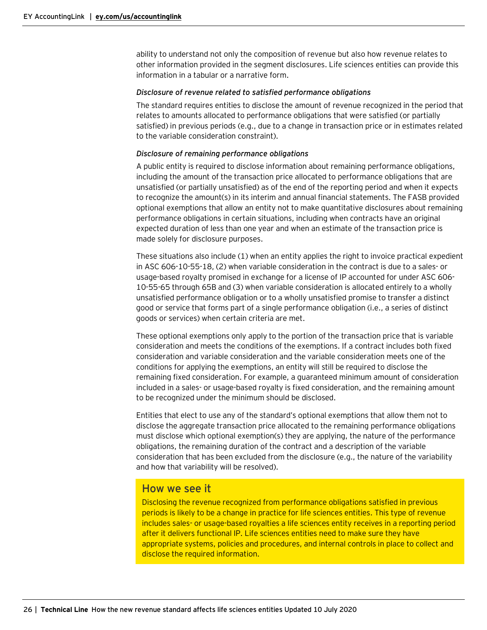ability to understand not only the composition of revenue but also how revenue relates to other information provided in the segment disclosures. Life sciences entities can provide this information in a tabular or a narrative form.

#### *Disclosure of revenue related to satisfied performance obligations*

The standard requires entities to disclose the amount of revenue recognized in the period that relates to amounts allocated to performance obligations that were satisfied (or partially satisfied) in previous periods (e.g., due to a change in transaction price or in estimates related to the variable consideration constraint).

#### *Disclosure of remaining performance obligations*

A public entity is required to disclose information about remaining performance obligations, including the amount of the transaction price allocated to performance obligations that are unsatisfied (or partially unsatisfied) as of the end of the reporting period and when it expects to recognize the amount(s) in its interim and annual financial statements. The FASB provided optional exemptions that allow an entity not to make quantitative disclosures about remaining performance obligations in certain situations, including when contracts have an original expected duration of less than one year and when an estimate of the transaction price is made solely for disclosure purposes.

These situations also include (1) when an entity applies the right to invoice practical expedient in ASC 606-10-55-18, (2) when variable consideration in the contract is due to a sales- or usage-based royalty promised in exchange for a license of IP accounted for under ASC 606- 10-55-65 through 65B and (3) when variable consideration is allocated entirely to a wholly unsatisfied performance obligation or to a wholly unsatisfied promise to transfer a distinct good or service that forms part of a single performance obligation (i.e., a series of distinct goods or services) when certain criteria are met.

These optional exemptions only apply to the portion of the transaction price that is variable consideration and meets the conditions of the exemptions. If a contract includes both fixed consideration and variable consideration and the variable consideration meets one of the conditions for applying the exemptions, an entity will still be required to disclose the remaining fixed consideration. For example, a guaranteed minimum amount of consideration included in a sales- or usage-based royalty is fixed consideration, and the remaining amount to be recognized under the minimum should be disclosed.

Entities that elect to use any of the standard's optional exemptions that allow them not to disclose the aggregate transaction price allocated to the remaining performance obligations must disclose which optional exemption(s) they are applying, the nature of the performance obligations, the remaining duration of the contract and a description of the variable consideration that has been excluded from the disclosure (e.g., the nature of the variability and how that variability will be resolved).

# How we see it

Disclosing the revenue recognized from performance obligations satisfied in previous periods is likely to be a change in practice for life sciences entities. This type of revenue includes sales- or usage-based royalties a life sciences entity receives in a reporting period after it delivers functional IP. Life sciences entities need to make sure they have appropriate systems, policies and procedures, and internal controls in place to collect and disclose the required information.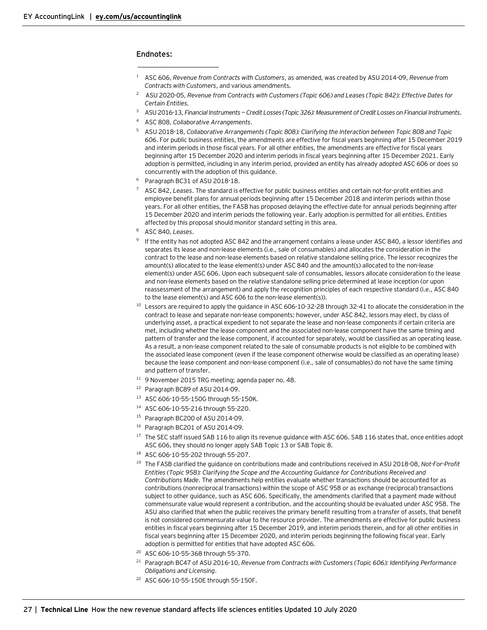#### **Endnotes:**

- <sup>1</sup> ASC 606, *Revenue from Contracts with Customers*, as amended, was created by ASU 2014-09, *Revenue from Contracts with Customers*, and various amendments.
- 2 ASU 2020-05, *Revenue from Contracts with Customers (Topic 606) and Leases (Topic 842): Effective Dates for Certain Entities*.
- <sup>3</sup> ASU 2016-13, *Financial Instruments — Credit Losses (Topic 326): Measurement of Credit Losses on Financial Instruments*.
- <sup>4</sup> ASC 808, *Collaborative Arrangements*.

 $\overline{\phantom{a}}$  , where  $\overline{\phantom{a}}$  , where  $\overline{\phantom{a}}$  , where  $\overline{\phantom{a}}$ 

- <sup>5</sup> ASU 2018-18, *Collaborative Arrangements (Topic 808): Clarifying the Interaction between Topic 808 and Topic 606*. For public business entities, the amendments are effective for fiscal years beginning after 15 December 2019 and interim periods in those fiscal years. For all other entities, the amendments are effective for fiscal years beginning after 15 December 2020 and interim periods in fiscal years beginning after 15 December 2021. Early adoption is permitted, including in any interim period, provided an entity has already adopted ASC 606 or does so concurrently with the adoption of this guidance.
- <sup>6</sup> Paragraph BC31 of ASU 2018-18.
- <sup>7</sup> ASC 842, *Leases*. The standard is effective for public business entities and certain not-for-profit entities and employee benefit plans for annual periods beginning after 15 December 2018 and interim periods within those years. For all other entities, the FASB has proposed delaying the effective date for annual periods beginning after 15 December 2020 and interim periods the following year. Early adoption is permitted for all entities. Entities affected by this proposal should monitor standard setting in this area.
- <sup>8</sup> ASC 840, *Leases*.
- <sup>9</sup> If the entity has not adopted ASC 842 and the arrangement contains a lease under ASC 840, a lessor identifies and separates its lease and non-lease elements (i.e., sale of consumables) and allocates the consideration in the contract to the lease and non-lease elements based on relative standalone selling price. The lessor recognizes the amount(s) allocated to the lease element(s) under ASC 840 and the amount(s) allocated to the non-lease element(s) under ASC 606. Upon each subsequent sale of consumables, lessors allocate consideration to the lease and non-lease elements based on the relative standalone selling price determined at lease inception (or upon reassessment of the arrangement) and apply the recognition principles of each respective standard (i.e., ASC 840 to the lease element(s) and ASC 606 to the non-lease element(s)).
- <sup>10</sup> Lessors are required to apply the guidance in ASC 606-10-32-28 through 32-41 to allocate the consideration in the contract to lease and separate non-lease components; however, under ASC 842, lessors may elect, by class of underlying asset, a practical expedient to not separate the lease and non-lease components if certain criteria are met, including whether the lease component and the associated non-lease component have the same timing and pattern of transfer and the lease component, if accounted for separately, would be classified as an operating lease. As a result, a non-lease component related to the sale of consumable products is not eligible to be combined with the associated lease component (even if the lease component otherwise would be classified as an operating lease) because the lease component and non-lease component (i.e., sale of consumables) do not have the same timing and pattern of transfer.
- <sup>11</sup> 9 November 2015 TRG meeting; agenda paper no. 48.
- <sup>12</sup> Paragraph BC89 of ASU 2014-09.
- <sup>13</sup> ASC 606-10-55-150G through 55-150K.
- <sup>14</sup> ASC 606-10-55-216 through 55-220.
- <sup>15</sup> Paragraph BC200 of ASU 2014-09.
- <sup>16</sup> Paragraph BC201 of ASU 2014-09.
- <sup>17</sup> The SEC staff issued SAB 116 to align its revenue guidance with ASC 606. SAB 116 states that, once entities adopt ASC 606, they should no longer apply SAB Topic 13 or SAB Topic 8.
- <sup>18</sup> ASC 606-10-55-202 through 55-207.
- <sup>19</sup> The FASB clarified the guidance on contributions made and contributions received in ASU 2018-08, *Not-For-Profit Entities (Topic 958): Clarifying the Scope and the Accounting Guidance for Contributions Received and Contributions Made*. The amendments help entities evaluate whether transactions should be accounted for as contributions (nonreciprocal transactions) within the scope of ASC 958 or as exchange (reciprocal) transactions subject to other guidance, such as ASC 606. Specifically, the amendments clarified that a payment made without commensurate value would represent a contribution, and the accounting should be evaluated under ASC 958. The ASU also clarified that when the public receives the primary benefit resulting from a transfer of assets, that benefit is not considered commensurate value to the resource provider. The amendments are effective for public business entities in fiscal years beginning after 15 December 2019, and interim periods therein, and for all other entities in fiscal years beginning after 15 December 2020, and interim periods beginning the following fiscal year. Early adoption is permitted for entities that have adopted ASC 606.
- <sup>20</sup> ASC 606-10-55-368 through 55-370.
- <sup>21</sup> Paragraph BC47 of ASU 2016-10, *Revenue from Contracts with Customers (Topic 606): Identifying Performance Obligations and Licensing*.
- <sup>22</sup> ASC 606-10-55-150E through 55-150F.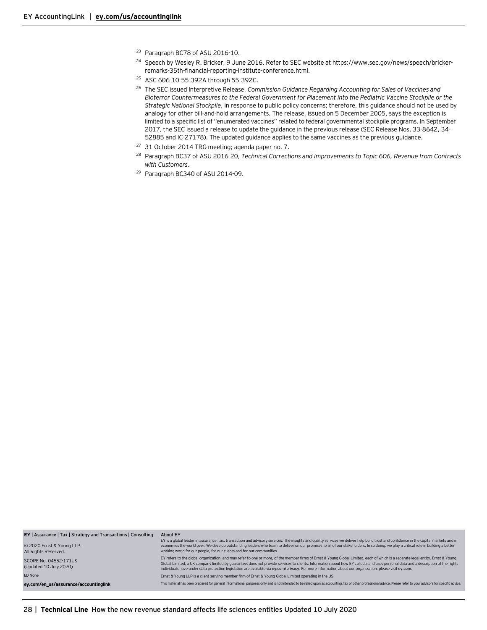- <sup>23</sup> Paragraph BC78 of ASU 2016-10.
- <sup>24</sup> Speech by Wesley R. Bricker, 9 June 2016. Refer to SEC website at https://www.sec.gov/news/speech/brickerremarks-35th-financial-reporting-institute-conference.html.
- <sup>25</sup> ASC 606-10-55-392A through 55-392C.
- <sup>26</sup> The SEC issued Interpretive Release, *Commission Guidance Regarding Accounting for Sales of Vaccines and Bioterror Countermeasures to the Federal Government for Placement into the Pediatric Vaccine Stockpile or the Strategic National Stockpile*, in response to public policy concerns; therefore, this guidance should not be used by analogy for other bill-and-hold arrangements. The release, issued on 5 December 2005, says the exception is limited to a specific list of "enumerated vaccines" related to federal governmental stockpile programs. In September 2017, the SEC issued a release to update the guidance in the previous release (SEC Release Nos. 33-8642, 34- 52885 and IC-27178). The updated guidance applies to the same vaccines as the previous guidance.
- <sup>27</sup> 31 October 2014 TRG meeting; agenda paper no. 7.
- <sup>28</sup> Paragraph BC37 of ASU 2016-20, *Technical Corrections and Improvements to Topic 606, Revenue from Contracts with Customers*.
- <sup>29</sup> Paragraph BC340 of ASU 2014-09.

| EY   Assurance   Tax   Strategy and Transactions   Consulting<br>© 2020 Ernst & Young LLP.<br>All Rights Reserved. | About EY<br>EY is a global leader in assurance, tax, transaction and advisory services. The insights and quality services we deliver help build trust and confidence in the capital markets and in<br>economies the world over. We develop outstanding leaders who team to deliver on our promises to all of our stakeholders. In so doing, we play a critical role in building a better<br>working world for our people, for our clients and for our communities.                                                              |
|--------------------------------------------------------------------------------------------------------------------|---------------------------------------------------------------------------------------------------------------------------------------------------------------------------------------------------------------------------------------------------------------------------------------------------------------------------------------------------------------------------------------------------------------------------------------------------------------------------------------------------------------------------------|
| SCORE No. 04552-171US<br>(Updated 10 July 2020)                                                                    | EY refers to the global organization, and may refer to one or more, of the member firms of Ernst & Young Global Limited, each of which is a separate legal entity. Ernst & Young<br>Global Limited, a UK company limited by quarantee, does not provide services to clients. Information about how EY collects and uses personal data and a description of the rights<br>individuals have under data protection legislation are available via ey.com/privacy. For more information about our organization, please visit ey.com. |
| ED None                                                                                                            | Ernst & Young LLP is a client-serving member firm of Ernst & Young Global Limited operating in the US.                                                                                                                                                                                                                                                                                                                                                                                                                          |
| ey.com/en_us/assurance/accountinglink                                                                              | This material has been prepared for general informational purposes only and is not intended to be relied upon as accounting, tax or other professional advice. Please refer to your advisors for specific advice.                                                                                                                                                                                                                                                                                                               |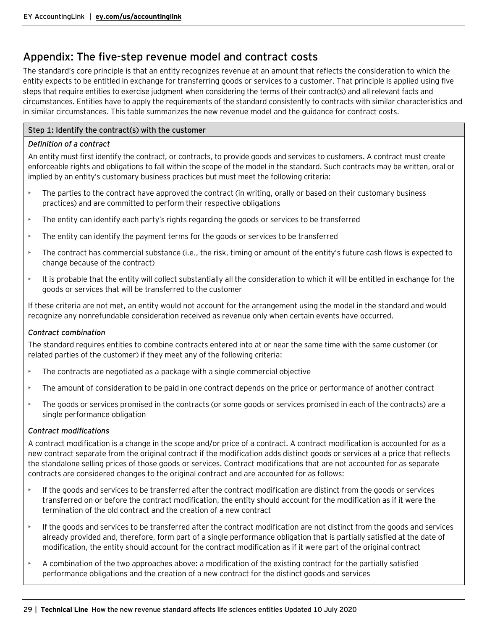# <span id="page-28-0"></span>Appendix: The five-step revenue model and contract costs

The standard's core principle is that an entity recognizes revenue at an amount that reflects the consideration to which the entity expects to be entitled in exchange for transferring goods or services to a customer. That principle is applied using five steps that require entities to exercise judgment when considering the terms of their contract(s) and all relevant facts and circumstances. Entities have to apply the requirements of the standard consistently to contracts with similar characteristics and in similar circumstances. This table summarizes the new revenue model and the guidance for contract costs.

# **Step 1: Identify the contract(s) with the customer**

# *Definition of a contract*

An entity must first identify the contract, or contracts, to provide goods and services to customers. A contract must create enforceable rights and obligations to fall within the scope of the model in the standard. Such contracts may be written, oral or implied by an entity's customary business practices but must meet the following criteria:

- The parties to the contract have approved the contract (in writing, orally or based on their customary business practices) and are committed to perform their respective obligations
- The entity can identify each party's rights regarding the goods or services to be transferred
- The entity can identify the payment terms for the goods or services to be transferred
- The contract has commercial substance (i.e., the risk, timing or amount of the entity's future cash flows is expected to change because of the contract)
- It is probable that the entity will collect substantially all the consideration to which it will be entitled in exchange for the goods or services that will be transferred to the customer

If these criteria are not met, an entity would not account for the arrangement using the model in the standard and would recognize any nonrefundable consideration received as revenue only when certain events have occurred.

# *Contract combination*

The standard requires entities to combine contracts entered into at or near the same time with the same customer (or related parties of the customer) if they meet any of the following criteria:

- The contracts are negotiated as a package with a single commercial objective
- The amount of consideration to be paid in one contract depends on the price or performance of another contract
- The goods or services promised in the contracts (or some goods or services promised in each of the contracts) are a single performance obligation

# *Contract modifications*

A contract modification is a change in the scope and/or price of a contract. A contract modification is accounted for as a new contract separate from the original contract if the modification adds distinct goods or services at a price that reflects the standalone selling prices of those goods or services. Contract modifications that are not accounted for as separate contracts are considered changes to the original contract and are accounted for as follows:

- If the goods and services to be transferred after the contract modification are distinct from the goods or services transferred on or before the contract modification, the entity should account for the modification as if it were the termination of the old contract and the creation of a new contract
- If the goods and services to be transferred after the contract modification are not distinct from the goods and services already provided and, therefore, form part of a single performance obligation that is partially satisfied at the date of modification, the entity should account for the contract modification as if it were part of the original contract
- A combination of the two approaches above: a modification of the existing contract for the partially satisfied performance obligations and the creation of a new contract for the distinct goods and services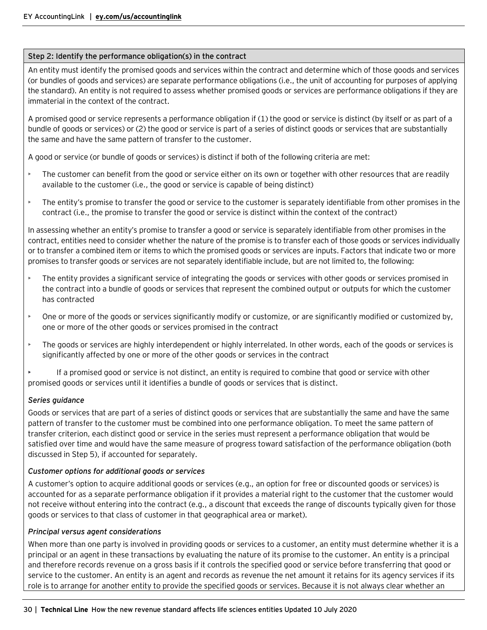### **Step 2: Identify the performance obligation(s) in the contract**

An entity must identify the promised goods and services within the contract and determine which of those goods and services (or bundles of goods and services) are separate performance obligations (i.e., the unit of accounting for purposes of applying the standard). An entity is not required to assess whether promised goods or services are performance obligations if they are immaterial in the context of the contract.

A promised good or service represents a performance obligation if (1) the good or service is distinct (by itself or as part of a bundle of goods or services) or (2) the good or service is part of a series of distinct goods or services that are substantially the same and have the same pattern of transfer to the customer.

A good or service (or bundle of goods or services) is distinct if both of the following criteria are met:

- The customer can benefit from the good or service either on its own or together with other resources that are readily available to the customer (i.e., the good or service is capable of being distinct)
- The entity's promise to transfer the good or service to the customer is separately identifiable from other promises in the contract (i.e., the promise to transfer the good or service is distinct within the context of the contract)

In assessing whether an entity's promise to transfer a good or service is separately identifiable from other promises in the contract, entities need to consider whether the nature of the promise is to transfer each of those goods or services individually or to transfer a combined item or items to which the promised goods or services are inputs. Factors that indicate two or more promises to transfer goods or services are not separately identifiable include, but are not limited to, the following:

- The entity provides a significant service of integrating the goods or services with other goods or services promised in the contract into a bundle of goods or services that represent the combined output or outputs for which the customer has contracted
- One or more of the goods or services significantly modify or customize, or are significantly modified or customized by, one or more of the other goods or services promised in the contract
- The goods or services are highly interdependent or highly interrelated. In other words, each of the goods or services is significantly affected by one or more of the other goods or services in the contract

• If a promised good or service is not distinct, an entity is required to combine that good or service with other promised goods or services until it identifies a bundle of goods or services that is distinct.

# *Series guidance*

Goods or services that are part of a series of distinct goods or services that are substantially the same and have the same pattern of transfer to the customer must be combined into one performance obligation. To meet the same pattern of transfer criterion, each distinct good or service in the series must represent a performance obligation that would be satisfied over time and would have the same measure of progress toward satisfaction of the performance obligation (both discussed in Step 5), if accounted for separately.

# *Customer options for additional goods or services*

A customer's option to acquire additional goods or services (e.g., an option for free or discounted goods or services) is accounted for as a separate performance obligation if it provides a material right to the customer that the customer would not receive without entering into the contract (e.g., a discount that exceeds the range of discounts typically given for those goods or services to that class of customer in that geographical area or market).

#### *Principal versus agent considerations*

When more than one party is involved in providing goods or services to a customer, an entity must determine whether it is a principal or an agent in these transactions by evaluating the nature of its promise to the customer. An entity is a principal and therefore records revenue on a gross basis if it controls the specified good or service before transferring that good or service to the customer. An entity is an agent and records as revenue the net amount it retains for its agency services if its role is to arrange for another entity to provide the specified goods or services. Because it is not always clear whether an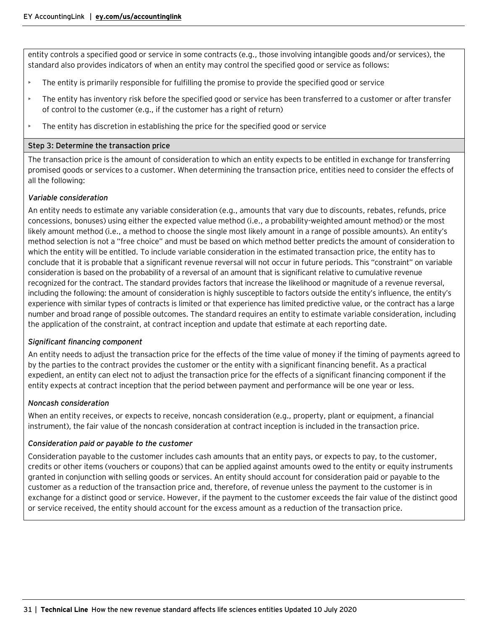entity controls a specified good or service in some contracts (e.g., those involving intangible goods and/or services), the standard also provides indicators of when an entity may control the specified good or service as follows:

- The entity is primarily responsible for fulfilling the promise to provide the specified good or service
- The entity has inventory risk before the specified good or service has been transferred to a customer or after transfer of control to the customer (e.g., if the customer has a right of return)
- The entity has discretion in establishing the price for the specified good or service

#### **Step 3: Determine the transaction price**

The transaction price is the amount of consideration to which an entity expects to be entitled in exchange for transferring promised goods or services to a customer. When determining the transaction price, entities need to consider the effects of all the following:

#### *Variable consideration*

An entity needs to estimate any variable consideration (e.g., amounts that vary due to discounts, rebates, refunds, price concessions, bonuses) using either the expected value method (i.e., a probability-weighted amount method) or the most likely amount method (i.e., a method to choose the single most likely amount in a range of possible amounts). An entity's method selection is not a "free choice" and must be based on which method better predicts the amount of consideration to which the entity will be entitled. To include variable consideration in the estimated transaction price, the entity has to conclude that it is probable that a significant revenue reversal will not occur in future periods. This "constraint" on variable consideration is based on the probability of a reversal of an amount that is significant relative to cumulative revenue recognized for the contract. The standard provides factors that increase the likelihood or magnitude of a revenue reversal, including the following: the amount of consideration is highly susceptible to factors outside the entity's influence, the entity's experience with similar types of contracts is limited or that experience has limited predictive value, or the contract has a large number and broad range of possible outcomes. The standard requires an entity to estimate variable consideration, including the application of the constraint, at contract inception and update that estimate at each reporting date.

# *Significant financing component*

An entity needs to adjust the transaction price for the effects of the time value of money if the timing of payments agreed to by the parties to the contract provides the customer or the entity with a significant financing benefit. As a practical expedient, an entity can elect not to adjust the transaction price for the effects of a significant financing component if the entity expects at contract inception that the period between payment and performance will be one year or less.

# *Noncash consideration*

When an entity receives, or expects to receive, noncash consideration (e.g., property, plant or equipment, a financial instrument), the fair value of the noncash consideration at contract inception is included in the transaction price.

# *Consideration paid or payable to the customer*

Consideration payable to the customer includes cash amounts that an entity pays, or expects to pay, to the customer, credits or other items (vouchers or coupons) that can be applied against amounts owed to the entity or equity instruments granted in conjunction with selling goods or services. An entity should account for consideration paid or payable to the customer as a reduction of the transaction price and, therefore, of revenue unless the payment to the customer is in exchange for a distinct good or service. However, if the payment to the customer exceeds the fair value of the distinct good or service received, the entity should account for the excess amount as a reduction of the transaction price.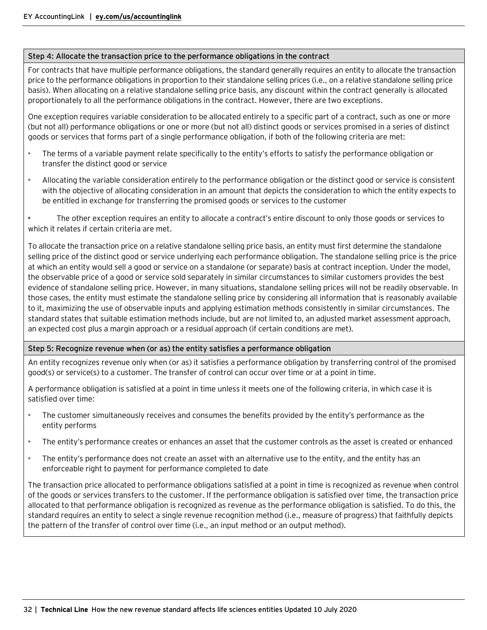## **Step 4: Allocate the transaction price to the performance obligations in the contract**

For contracts that have multiple performance obligations, the standard generally requires an entity to allocate the transaction price to the performance obligations in proportion to their standalone selling prices (i.e., on a relative standalone selling price basis). When allocating on a relative standalone selling price basis, any discount within the contract generally is allocated proportionately to all the performance obligations in the contract. However, there are two exceptions.

One exception requires variable consideration to be allocated entirely to a specific part of a contract, such as one or more (but not all) performance obligations or one or more (but not all) distinct goods or services promised in a series of distinct goods or services that forms part of a single performance obligation, if both of the following criteria are met:

- The terms of a variable payment relate specifically to the entity's efforts to satisfy the performance obligation or transfer the distinct good or service
- Allocating the variable consideration entirely to the performance obligation or the distinct good or service is consistent with the objective of allocating consideration in an amount that depicts the consideration to which the entity expects to be entitled in exchange for transferring the promised goods or services to the customer

• The other exception requires an entity to allocate a contract's entire discount to only those goods or services to which it relates if certain criteria are met.

To allocate the transaction price on a relative standalone selling price basis, an entity must first determine the standalone selling price of the distinct good or service underlying each performance obligation. The standalone selling price is the price at which an entity would sell a good or service on a standalone (or separate) basis at contract inception. Under the model, the observable price of a good or service sold separately in similar circumstances to similar customers provides the best evidence of standalone selling price. However, in many situations, standalone selling prices will not be readily observable. In those cases, the entity must estimate the standalone selling price by considering all information that is reasonably available to it, maximizing the use of observable inputs and applying estimation methods consistently in similar circumstances. The standard states that suitable estimation methods include, but are not limited to, an adjusted market assessment approach, an expected cost plus a margin approach or a residual approach (if certain conditions are met).

# **Step 5: Recognize revenue when (or as) the entity satisfies a performance obligation**

An entity recognizes revenue only when (or as) it satisfies a performance obligation by transferring control of the promised good(s) or service(s) to a customer. The transfer of control can occur over time or at a point in time.

A performance obligation is satisfied at a point in time unless it meets one of the following criteria, in which case it is satisfied over time:

- The customer simultaneously receives and consumes the benefits provided by the entity's performance as the entity performs
- The entity's performance creates or enhances an asset that the customer controls as the asset is created or enhanced
- The entity's performance does not create an asset with an alternative use to the entity, and the entity has an enforceable right to payment for performance completed to date

The transaction price allocated to performance obligations satisfied at a point in time is recognized as revenue when control of the goods or services transfers to the customer. If the performance obligation is satisfied over time, the transaction price allocated to that performance obligation is recognized as revenue as the performance obligation is satisfied. To do this, the standard requires an entity to select a single revenue recognition method (i.e., measure of progress) that faithfully depicts the pattern of the transfer of control over time (i.e., an input method or an output method).